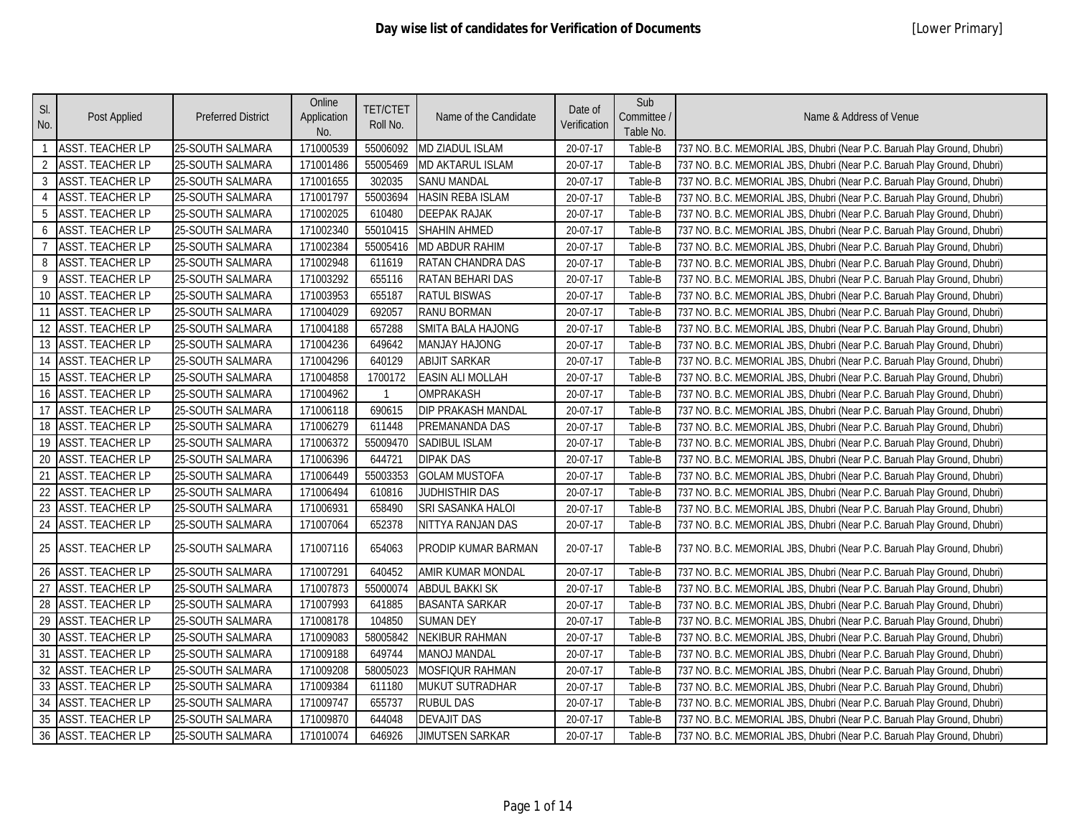| SI.<br>No.     | Post Applied            | <b>Preferred District</b> | Online<br>Application<br>No. | <b>TET/CTET</b><br>Roll No. | Name of the Candidate   | Date of<br>Verification | Sub<br>Committee /<br>Table No. | Name & Address of Venue                                                  |
|----------------|-------------------------|---------------------------|------------------------------|-----------------------------|-------------------------|-------------------------|---------------------------------|--------------------------------------------------------------------------|
| $\overline{1}$ | <b>ASST. TEACHER LP</b> | 25-SOUTH SALMARA          | 171000539                    | 55006092                    | MD ZIADUL ISLAM         | 20-07-17                | Table-B                         | 737 NO. B.C. MEMORIAL JBS, Dhubri (Near P.C. Baruah Play Ground, Dhubri) |
| $\overline{2}$ | <b>ASST. TEACHER LP</b> | 25-SOUTH SALMARA          | 171001486                    | 55005469                    | <b>MD AKTARUL ISLAM</b> | 20-07-17                | Table-B                         | 737 NO. B.C. MEMORIAL JBS, Dhubri (Near P.C. Baruah Play Ground, Dhubri) |
| $\overline{3}$ | <b>ASST. TEACHER LP</b> | 25-SOUTH SALMARA          | 171001655                    | 302035                      | <b>SANU MANDAL</b>      | 20-07-17                | Table-B                         | 737 NO. B.C. MEMORIAL JBS, Dhubri (Near P.C. Baruah Play Ground, Dhubri) |
| $\overline{4}$ | <b>ASST. TEACHER LP</b> | 25-SOUTH SALMARA          | 171001797                    | 55003694                    | HASIN REBA ISLAM        | 20-07-17                | Table-B                         | 737 NO. B.C. MEMORIAL JBS, Dhubri (Near P.C. Baruah Play Ground, Dhubri) |
| 5              | <b>ASST. TEACHER LP</b> | 25-SOUTH SALMARA          | 171002025                    | 610480                      | <b>DEEPAK RAJAK</b>     | 20-07-17                | Table-B                         | 737 NO. B.C. MEMORIAL JBS, Dhubri (Near P.C. Baruah Play Ground, Dhubri) |
| 6              | <b>ASST. TEACHER LP</b> | 25-SOUTH SALMARA          | 171002340                    | 55010415                    | <b>SHAHIN AHMED</b>     | 20-07-17                | Table-B                         | 737 NO. B.C. MEMORIAL JBS, Dhubri (Near P.C. Baruah Play Ground, Dhubri) |
| $\overline{7}$ | <b>ASST. TEACHER LP</b> | 25-SOUTH SALMARA          | 171002384                    | 55005416                    | MD ABDUR RAHIM          | 20-07-17                | Table-B                         | 737 NO. B.C. MEMORIAL JBS, Dhubri (Near P.C. Baruah Play Ground, Dhubri) |
| 8              | <b>ASST. TEACHER LP</b> | 25-SOUTH SALMARA          | 171002948                    | 611619                      | RATAN CHANDRA DAS       | 20-07-17                | Table-B                         | 737 NO. B.C. MEMORIAL JBS, Dhubri (Near P.C. Baruah Play Ground, Dhubri) |
| 9              | <b>ASST. TEACHER LP</b> | 25-SOUTH SALMARA          | 171003292                    | 655116                      | RATAN BEHARI DAS        | 20-07-17                | Table-B                         | 737 NO. B.C. MEMORIAL JBS, Dhubri (Near P.C. Baruah Play Ground, Dhubri) |
| 10             | <b>ASST. TEACHER LP</b> | 25-SOUTH SALMARA          | 171003953                    | 655187                      | <b>RATUL BISWAS</b>     | 20-07-17                | Table-B                         | 737 NO. B.C. MEMORIAL JBS, Dhubri (Near P.C. Baruah Play Ground, Dhubri) |
| 11             | <b>ASST. TEACHER LP</b> | 25-SOUTH SALMARA          | 171004029                    | 692057                      | <b>RANU BORMAN</b>      | 20-07-17                | Table-B                         | 737 NO. B.C. MEMORIAL JBS, Dhubri (Near P.C. Baruah Play Ground, Dhubri) |
| 12             | <b>ASST. TEACHER LP</b> | 25-SOUTH SALMARA          | 171004188                    | 657288                      | SMITA BALA HAJONG       | 20-07-17                | Table-B                         | 737 NO. B.C. MEMORIAL JBS, Dhubri (Near P.C. Baruah Play Ground, Dhubri) |
| 13             | <b>ASST. TEACHER LP</b> | 25-SOUTH SALMARA          | 171004236                    | 649642                      | MANJAY HAJONG           | 20-07-17                | Table-B                         | 737 NO. B.C. MEMORIAL JBS, Dhubri (Near P.C. Baruah Play Ground, Dhubri) |
| 14             | <b>ASST. TEACHER LP</b> | 25-SOUTH SALMARA          | 171004296                    | 640129                      | <b>ABIJIT SARKAR</b>    | 20-07-17                | Table-B                         | 737 NO. B.C. MEMORIAL JBS, Dhubri (Near P.C. Baruah Play Ground, Dhubri) |
| 15             | <b>ASST. TEACHER LP</b> | 25-SOUTH SALMARA          | 171004858                    | 1700172                     | <b>EASIN ALI MOLLAH</b> | 20-07-17                | Table-B                         | 737 NO. B.C. MEMORIAL JBS, Dhubri (Near P.C. Baruah Play Ground, Dhubri) |
| 16             | <b>ASST. TEACHER LP</b> | 25-SOUTH SALMARA          | 171004962                    | $\mathbf{1}$                | OMPRAKASH               | 20-07-17                | Table-B                         | 737 NO. B.C. MEMORIAL JBS, Dhubri (Near P.C. Baruah Play Ground, Dhubri) |
| 17             | <b>ASST. TEACHER LP</b> | 25-SOUTH SALMARA          | 171006118                    | 690615                      | DIP PRAKASH MANDAL      | 20-07-17                | Table-B                         | 737 NO. B.C. MEMORIAL JBS, Dhubri (Near P.C. Baruah Play Ground, Dhubri) |
| 18             | <b>ASST. TEACHER LP</b> | 25-SOUTH SALMARA          | 171006279                    | 611448                      | PREMANANDA DAS          | 20-07-17                | Table-B                         | 737 NO. B.C. MEMORIAL JBS, Dhubri (Near P.C. Baruah Play Ground, Dhubri) |
| 19             | <b>ASST. TEACHER LP</b> | 25-SOUTH SALMARA          | 171006372                    | 55009470                    | SADIBUL ISLAM           | 20-07-17                | Table-B                         | 737 NO. B.C. MEMORIAL JBS, Dhubri (Near P.C. Baruah Play Ground, Dhubri) |
| 20             | ASST. TEACHER LP        | 25-SOUTH SALMARA          | 171006396                    | 644721                      | <b>DIPAK DAS</b>        | 20-07-17                | Table-B                         | 737 NO. B.C. MEMORIAL JBS, Dhubri (Near P.C. Baruah Play Ground, Dhubri) |
| 21             | <b>ASST. TEACHER LP</b> | 25-SOUTH SALMARA          | 171006449                    | 55003353                    | <b>GOLAM MUSTOFA</b>    | 20-07-17                | Table-B                         | 737 NO. B.C. MEMORIAL JBS, Dhubri (Near P.C. Baruah Play Ground, Dhubri) |
| 22             | <b>ASST. TEACHER LP</b> | 25-SOUTH SALMARA          | 171006494                    | 610816                      | JUDHISTHIR DAS          | 20-07-17                | Table-B                         | 737 NO. B.C. MEMORIAL JBS, Dhubri (Near P.C. Baruah Play Ground, Dhubri) |
| 23             | <b>ASST. TEACHER LP</b> | 25-SOUTH SALMARA          | 171006931                    | 658490                      | SRI SASANKA HALOI       | 20-07-17                | Table-B                         | 737 NO. B.C. MEMORIAL JBS, Dhubri (Near P.C. Baruah Play Ground, Dhubri) |
| 24             | <b>ASST. TEACHER LP</b> | 25-SOUTH SALMARA          | 171007064                    | 652378                      | NITTYA RANJAN DAS       | 20-07-17                | Table-B                         | 737 NO. B.C. MEMORIAL JBS, Dhubri (Near P.C. Baruah Play Ground, Dhubri) |
| 25             | <b>ASST. TEACHER LP</b> | 25-SOUTH SALMARA          | 171007116                    | 654063                      | PRODIP KUMAR BARMAN     | 20-07-17                | Table-B                         | 737 NO. B.C. MEMORIAL JBS, Dhubri (Near P.C. Baruah Play Ground, Dhubri) |
| 26             | <b>ASST. TEACHER LP</b> | 25-SOUTH SALMARA          | 171007291                    | 640452                      | AMIR KUMAR MONDAL       | 20-07-17                | Table-B                         | 737 NO. B.C. MEMORIAL JBS, Dhubri (Near P.C. Baruah Play Ground, Dhubri) |
| 27             | <b>ASST. TEACHER LP</b> | 25-SOUTH SALMARA          | 171007873                    | 55000074                    | <b>ABDUL BAKKI SK</b>   | 20-07-17                | Table-B                         | 737 NO. B.C. MEMORIAL JBS, Dhubri (Near P.C. Baruah Play Ground, Dhubri) |
| 28             | <b>ASST. TEACHER LP</b> | 25-SOUTH SALMARA          | 171007993                    | 641885                      | <b>BASANTA SARKAR</b>   | 20-07-17                | Table-B                         | 737 NO. B.C. MEMORIAL JBS, Dhubri (Near P.C. Baruah Play Ground, Dhubri) |
| 29             | <b>ASST. TEACHER LP</b> | 25-SOUTH SALMARA          | 171008178                    | 104850                      | <b>SUMAN DEY</b>        | 20-07-17                | Table-B                         | 737 NO. B.C. MEMORIAL JBS, Dhubri (Near P.C. Baruah Play Ground, Dhubri) |
| 30             | <b>ASST. TEACHER LP</b> | 25-SOUTH SALMARA          | 171009083                    | 58005842                    | <b>NEKIBUR RAHMAN</b>   | 20-07-17                | Table-B                         | 737 NO. B.C. MEMORIAL JBS, Dhubri (Near P.C. Baruah Play Ground, Dhubri) |
| 31             | <b>ASST. TEACHER LP</b> | 25-SOUTH SALMARA          | 171009188                    | 649744                      | MANOJ MANDAL            | 20-07-17                | Table-B                         | 737 NO. B.C. MEMORIAL JBS, Dhubri (Near P.C. Baruah Play Ground, Dhubri) |
| 32             | <b>ASST. TEACHER LP</b> | 25-SOUTH SALMARA          | 171009208                    | 58005023                    | MOSFIQUR RAHMAN         | 20-07-17                | Table-B                         | 737 NO. B.C. MEMORIAL JBS, Dhubri (Near P.C. Baruah Play Ground, Dhubri) |
| 33             | <b>ASST. TEACHER LP</b> | 25-SOUTH SALMARA          | 171009384                    | 611180                      | MUKUT SUTRADHAR         | 20-07-17                | Table-B                         | 737 NO. B.C. MEMORIAL JBS, Dhubri (Near P.C. Baruah Play Ground, Dhubri) |
| 34             | <b>ASST. TEACHER LP</b> | 25-SOUTH SALMARA          | 171009747                    | 655737                      | <b>RUBUL DAS</b>        | 20-07-17                | Table-B                         | 737 NO. B.C. MEMORIAL JBS, Dhubri (Near P.C. Baruah Play Ground, Dhubri) |
| $35\,$         | <b>ASST. TEACHER LP</b> | 25-SOUTH SALMARA          | 171009870                    | 644048                      | <b>DEVAJIT DAS</b>      | 20-07-17                | Table-B                         | 737 NO. B.C. MEMORIAL JBS, Dhubri (Near P.C. Baruah Play Ground, Dhubri) |
|                | 36 ASST. TEACHER LP     | 25-SOUTH SALMARA          | 171010074                    | 646926                      | <b>JIMUTSEN SARKAR</b>  | 20-07-17                | Table-B                         | 737 NO. B.C. MEMORIAL JBS, Dhubri (Near P.C. Baruah Play Ground, Dhubri) |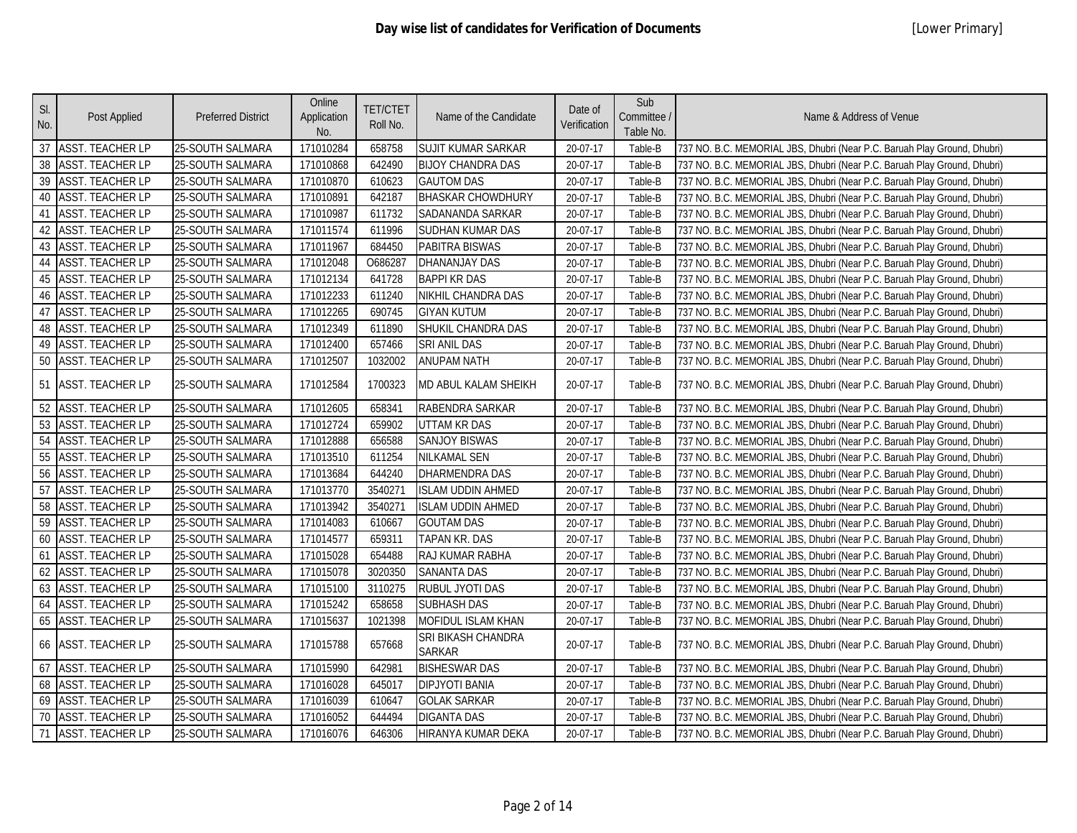| SI.<br>No. | Post Applied            | <b>Preferred District</b> | Online<br>Application<br>No. | <b>TET/CTET</b><br>Roll No. | Name of the Candidate               | Date of<br>Verification | Sub<br>Committee /<br>Table No. | Name & Address of Venue                                                  |
|------------|-------------------------|---------------------------|------------------------------|-----------------------------|-------------------------------------|-------------------------|---------------------------------|--------------------------------------------------------------------------|
| 37         | <b>ASST. TEACHER LP</b> | 25-SOUTH SALMARA          | 171010284                    | 658758                      | SUJIT KUMAR SARKAR                  | 20-07-17                | Table-B                         | 737 NO. B.C. MEMORIAL JBS, Dhubri (Near P.C. Baruah Play Ground, Dhubri) |
| 38         | <b>ASST. TEACHER LP</b> | 25-SOUTH SALMARA          | 171010868                    | 642490                      | <b>BIJOY CHANDRA DAS</b>            | 20-07-17                | Table-B                         | 737 NO. B.C. MEMORIAL JBS, Dhubri (Near P.C. Baruah Play Ground, Dhubri) |
| 39         | <b>ASST. TEACHER LP</b> | 25-SOUTH SALMARA          | 171010870                    | 610623                      | <b>GAUTOM DAS</b>                   | 20-07-17                | Table-B                         | 737 NO. B.C. MEMORIAL JBS, Dhubri (Near P.C. Baruah Play Ground, Dhubri) |
| 40         | <b>ASST. TEACHER LP</b> | 25-SOUTH SALMARA          | 171010891                    | 642187                      | <b>BHASKAR CHOWDHURY</b>            | 20-07-17                | Table-B                         | 737 NO. B.C. MEMORIAL JBS, Dhubri (Near P.C. Baruah Play Ground, Dhubri) |
| 41         | <b>ASST. TEACHER LP</b> | 25-SOUTH SALMARA          | 171010987                    | 611732                      | SADANANDA SARKAR                    | 20-07-17                | Table-B                         | 737 NO. B.C. MEMORIAL JBS, Dhubri (Near P.C. Baruah Play Ground, Dhubri) |
| 42         | <b>ASST. TEACHER LP</b> | 25-SOUTH SALMARA          | 171011574                    | 611996                      | SUDHAN KUMAR DAS                    | 20-07-17                | Table-B                         | 737 NO. B.C. MEMORIAL JBS, Dhubri (Near P.C. Baruah Play Ground, Dhubri) |
| 43         | <b>ASST. TEACHER LP</b> | 25-SOUTH SALMARA          | 171011967                    | 684450                      | PABITRA BISWAS                      | 20-07-17                | Table-B                         | 737 NO. B.C. MEMORIAL JBS, Dhubri (Near P.C. Baruah Play Ground, Dhubri) |
| 44         | <b>ASST. TEACHER LP</b> | 25-SOUTH SALMARA          | 171012048                    | 0686287                     | <b>DHANANJAY DAS</b>                | 20-07-17                | Table-B                         | 737 NO. B.C. MEMORIAL JBS, Dhubri (Near P.C. Baruah Play Ground, Dhubri) |
| 45         | <b>ASST. TEACHER LP</b> | 25-SOUTH SALMARA          | 171012134                    | 641728                      | <b>BAPPI KR DAS</b>                 | 20-07-17                | Table-B                         | 737 NO. B.C. MEMORIAL JBS, Dhubri (Near P.C. Baruah Play Ground, Dhubri) |
| 46         | <b>ASST. TEACHER LP</b> | 25-SOUTH SALMARA          | 171012233                    | 611240                      | NIKHIL CHANDRA DAS                  | 20-07-17                | Table-B                         | 737 NO. B.C. MEMORIAL JBS, Dhubri (Near P.C. Baruah Play Ground, Dhubri) |
| 47         | <b>ASST. TEACHER LP</b> | 25-SOUTH SALMARA          | 171012265                    | 690745                      | <b>GIYAN KUTUM</b>                  | 20-07-17                | Table-B                         | 737 NO. B.C. MEMORIAL JBS, Dhubri (Near P.C. Baruah Play Ground, Dhubri) |
| 48         | <b>ASST. TEACHER LP</b> | 25-SOUTH SALMARA          | 171012349                    | 611890                      | SHUKIL CHANDRA DAS                  | 20-07-17                | Table-B                         | 737 NO. B.C. MEMORIAL JBS, Dhubri (Near P.C. Baruah Play Ground, Dhubri) |
| 49         | <b>ASST. TEACHER LP</b> | 25-SOUTH SALMARA          | 171012400                    | 657466                      | SRI ANIL DAS                        | 20-07-17                | Table-B                         | 737 NO. B.C. MEMORIAL JBS, Dhubri (Near P.C. Baruah Play Ground, Dhubri) |
| 50         | <b>ASST. TEACHER LP</b> | 25-SOUTH SALMARA          | 171012507                    | 1032002                     | <b>ANUPAM NATH</b>                  | 20-07-17                | Table-B                         | 737 NO. B.C. MEMORIAL JBS, Dhubri (Near P.C. Baruah Play Ground, Dhubri) |
| 51         | <b>ASST. TEACHER LP</b> | 25-SOUTH SALMARA          | 171012584                    | 1700323                     | MD ABUL KALAM SHEIKH                | 20-07-17                | Table-B                         | 737 NO. B.C. MEMORIAL JBS, Dhubri (Near P.C. Baruah Play Ground, Dhubri) |
| 52         | <b>ASST. TEACHER LP</b> | 25-SOUTH SALMARA          | 171012605                    | 658341                      | RABENDRA SARKAR                     | 20-07-17                | Table-B                         | 737 NO. B.C. MEMORIAL JBS, Dhubri (Near P.C. Baruah Play Ground, Dhubri) |
| 53         | <b>ASST. TEACHER LP</b> | 25-SOUTH SALMARA          | 171012724                    | 659902                      | <b>UTTAM KR DAS</b>                 | 20-07-17                | Table-B                         | 737 NO. B.C. MEMORIAL JBS, Dhubri (Near P.C. Baruah Play Ground, Dhubri) |
| 54         | <b>ASST. TEACHER LP</b> | 25-SOUTH SALMARA          | 171012888                    | 656588                      | SANJOY BISWAS                       | 20-07-17                | Table-B                         | 737 NO. B.C. MEMORIAL JBS, Dhubri (Near P.C. Baruah Play Ground, Dhubri) |
| 55         | <b>ASST. TEACHER LP</b> | 25-SOUTH SALMARA          | 171013510                    | 611254                      | <b>NILKAMAL SEN</b>                 | 20-07-17                | Table-B                         | 737 NO. B.C. MEMORIAL JBS, Dhubri (Near P.C. Baruah Play Ground, Dhubri) |
| 56         | <b>ASST. TEACHER LP</b> | 25-SOUTH SALMARA          | 171013684                    | 644240                      | DHARMENDRA DAS                      | 20-07-17                | Table-B                         | 737 NO. B.C. MEMORIAL JBS, Dhubri (Near P.C. Baruah Play Ground, Dhubri) |
| 57         | <b>ASST. TEACHER LP</b> | 25-SOUTH SALMARA          | 171013770                    | 3540271                     | <b>ISLAM UDDIN AHMED</b>            | 20-07-17                | Table-B                         | 737 NO. B.C. MEMORIAL JBS, Dhubri (Near P.C. Baruah Play Ground, Dhubri) |
| 58         | <b>ASST. TEACHER LP</b> | 25-SOUTH SALMARA          | 171013942                    | 3540271                     | <b>ISLAM UDDIN AHMED</b>            | 20-07-17                | Table-B                         | 737 NO. B.C. MEMORIAL JBS, Dhubri (Near P.C. Baruah Play Ground, Dhubri) |
| 59         | <b>ASST. TEACHER LP</b> | 25-SOUTH SALMARA          | 171014083                    | 610667                      | <b>GOUTAM DAS</b>                   | 20-07-17                | Table-B                         | 737 NO. B.C. MEMORIAL JBS, Dhubri (Near P.C. Baruah Play Ground, Dhubri) |
| 60         | <b>ASST. TEACHER LP</b> | 25-SOUTH SALMARA          | 171014577                    | 659311                      | TAPAN KR. DAS                       | 20-07-17                | Table-B                         | 737 NO. B.C. MEMORIAL JBS, Dhubri (Near P.C. Baruah Play Ground, Dhubri) |
| 61         | <b>ASST. TEACHER LP</b> | 25-SOUTH SALMARA          | 171015028                    | 654488                      | RAJ KUMAR RABHA                     | 20-07-17                | Table-B                         | 737 NO. B.C. MEMORIAL JBS, Dhubri (Near P.C. Baruah Play Ground, Dhubri) |
| 62         | <b>ASST. TEACHER LP</b> | 25-SOUTH SALMARA          | 171015078                    | 3020350                     | <b>SANANTA DAS</b>                  | 20-07-17                | Table-B                         | 737 NO. B.C. MEMORIAL JBS, Dhubri (Near P.C. Baruah Play Ground, Dhubri) |
| 63         | <b>ASST. TEACHER LP</b> | 25-SOUTH SALMARA          | 171015100                    | 3110275                     | RUBUL JYOTI DAS                     | 20-07-17                | Table-B                         | 737 NO. B.C. MEMORIAL JBS, Dhubri (Near P.C. Baruah Play Ground, Dhubri) |
| 64         | <b>ASST. TEACHER LP</b> | 25-SOUTH SALMARA          | 171015242                    | 658658                      | <b>SUBHASH DAS</b>                  | 20-07-17                | Table-B                         | 737 NO. B.C. MEMORIAL JBS, Dhubri (Near P.C. Baruah Play Ground, Dhubri) |
| 65         | <b>ASST. TEACHER LP</b> | 25-SOUTH SALMARA          | 171015637                    | 1021398                     | MOFIDUL ISLAM KHAN                  | 20-07-17                | Table-B                         | 737 NO. B.C. MEMORIAL JBS, Dhubri (Near P.C. Baruah Play Ground, Dhubri) |
| 66         | <b>ASST. TEACHER LP</b> | 25-SOUTH SALMARA          | 171015788                    | 657668                      | SRI BIKASH CHANDRA<br><b>SARKAR</b> | 20-07-17                | Table-B                         | 737 NO. B.C. MEMORIAL JBS, Dhubri (Near P.C. Baruah Play Ground, Dhubri) |
| 67         | <b>ASST. TEACHER LP</b> | 25-SOUTH SALMARA          | 171015990                    | 642981                      | <b>BISHESWAR DAS</b>                | 20-07-17                | Table-B                         | 737 NO. B.C. MEMORIAL JBS, Dhubri (Near P.C. Baruah Play Ground, Dhubri) |
| 68         | <b>ASST. TEACHER LP</b> | 25-SOUTH SALMARA          | 171016028                    | 645017                      | <b>DIPJYOTI BANIA</b>               | 20-07-17                | Table-B                         | 737 NO. B.C. MEMORIAL JBS, Dhubri (Near P.C. Baruah Play Ground, Dhubri) |
| 69         | <b>ASST. TEACHER LP</b> | 25-SOUTH SALMARA          | 171016039                    | 610647                      | <b>GOLAK SARKAR</b>                 | 20-07-17                | Table-B                         | 737 NO. B.C. MEMORIAL JBS, Dhubri (Near P.C. Baruah Play Ground, Dhubri) |
| 70         | <b>ASST. TEACHER LP</b> | 25-SOUTH SALMARA          | 171016052                    | 644494                      | <b>DIGANTA DAS</b>                  | 20-07-17                | Table-B                         | 737 NO. B.C. MEMORIAL JBS, Dhubri (Near P.C. Baruah Play Ground, Dhubri) |
| 71         | <b>ASST. TEACHER LP</b> | 25-SOUTH SALMARA          | 171016076                    | 646306                      | HIRANYA KUMAR DEKA                  | 20-07-17                | Table-B                         | 737 NO. B.C. MEMORIAL JBS, Dhubri (Near P.C. Baruah Play Ground, Dhubri) |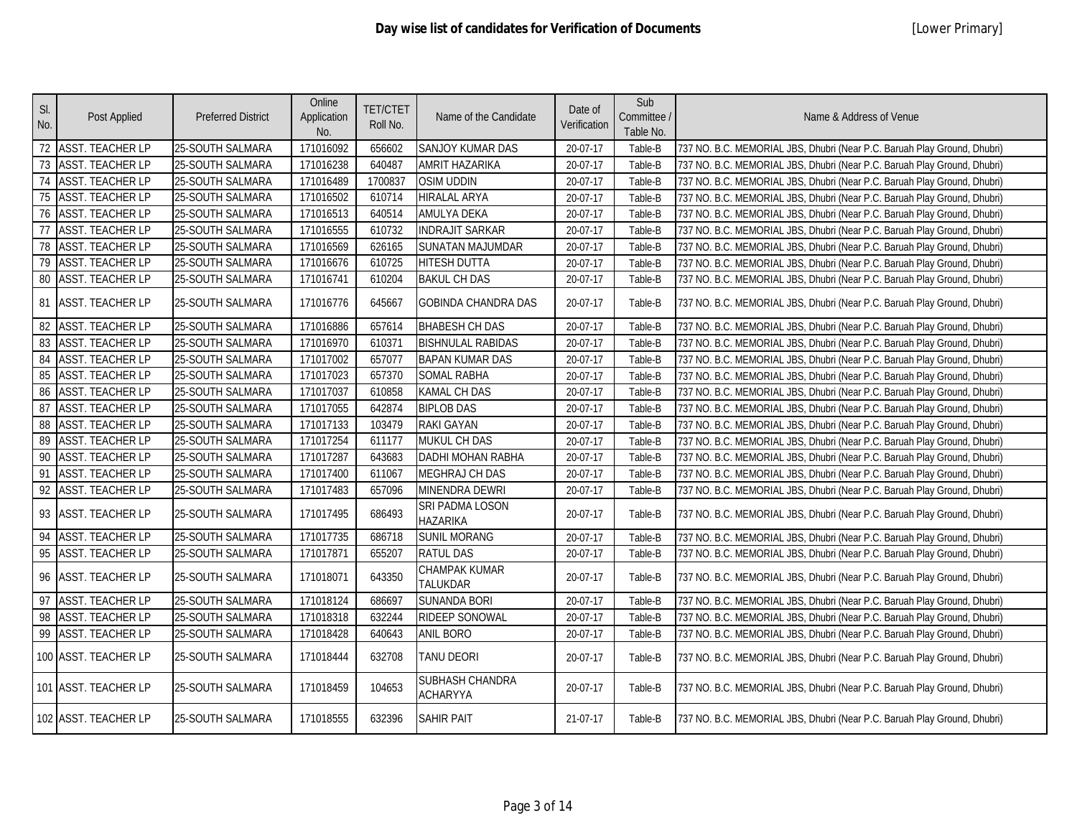|                 |                         |                           | Online      |                 |                                    |              | Sub         |                                                                          |
|-----------------|-------------------------|---------------------------|-------------|-----------------|------------------------------------|--------------|-------------|--------------------------------------------------------------------------|
| SI.             | Post Applied            | <b>Preferred District</b> | Application | <b>TET/CTET</b> | Name of the Candidate              | Date of      | Committee / | Name & Address of Venue                                                  |
| No.             |                         |                           | No.         | Roll No.        |                                    | Verification | Table No.   |                                                                          |
| 72              | <b>ASST. TEACHER LP</b> | 25-SOUTH SALMARA          | 171016092   | 656602          | SANJOY KUMAR DAS                   | 20-07-17     | Table-B     | 737 NO. B.C. MEMORIAL JBS, Dhubri (Near P.C. Baruah Play Ground, Dhubri) |
| 73              | <b>ASST. TEACHER LP</b> | 25-SOUTH SALMARA          | 171016238   | 640487          | <b>AMRIT HAZARIKA</b>              | 20-07-17     | Table-B     | 737 NO. B.C. MEMORIAL JBS, Dhubri (Near P.C. Baruah Play Ground, Dhubri) |
| $\overline{74}$ | <b>ASST. TEACHER LP</b> | 25-SOUTH SALMARA          | 171016489   | 1700837         | <b>OSIM UDDIN</b>                  | 20-07-17     | Table-B     | 737 NO. B.C. MEMORIAL JBS, Dhubri (Near P.C. Baruah Play Ground, Dhubri) |
| 75              | <b>ASST. TEACHER LP</b> | 25-SOUTH SALMARA          | 171016502   | 610714          | <b>HIRALAL ARYA</b>                | 20-07-17     | Table-B     | 737 NO. B.C. MEMORIAL JBS, Dhubri (Near P.C. Baruah Play Ground, Dhubri) |
| 76              | <b>ASST. TEACHER LP</b> | 25-SOUTH SALMARA          | 171016513   | 640514          | <b>AMULYA DEKA</b>                 | 20-07-17     | Table-B     | 737 NO. B.C. MEMORIAL JBS, Dhubri (Near P.C. Baruah Play Ground, Dhubri) |
| 77              | <b>ASST. TEACHER LP</b> | 25-SOUTH SALMARA          | 171016555   | 610732          | <b>INDRAJIT SARKAR</b>             | 20-07-17     | Table-B     | 737 NO. B.C. MEMORIAL JBS, Dhubri (Near P.C. Baruah Play Ground, Dhubri) |
| 78              | <b>ASST. TEACHER LP</b> | 25-SOUTH SALMARA          | 171016569   | 626165          | <b>SUNATAN MAJUMDAR</b>            | 20-07-17     | Table-B     | 737 NO. B.C. MEMORIAL JBS, Dhubri (Near P.C. Baruah Play Ground, Dhubri) |
| 79              | <b>ASST. TEACHER LP</b> | 25-SOUTH SALMARA          | 171016676   | 610725          | <b>HITESH DUTTA</b>                | 20-07-17     | Table-B     | 737 NO. B.C. MEMORIAL JBS, Dhubri (Near P.C. Baruah Play Ground, Dhubri) |
| 80              | <b>ASST. TEACHER LP</b> | 25-SOUTH SALMARA          | 171016741   | 610204          | <b>BAKUL CH DAS</b>                | 20-07-17     | Table-B     | 737 NO. B.C. MEMORIAL JBS, Dhubri (Near P.C. Baruah Play Ground, Dhubri) |
| 81              | <b>ASST. TEACHER LP</b> | 25-SOUTH SALMARA          | 171016776   | 645667          | <b>GOBINDA CHANDRA DAS</b>         | 20-07-17     | Table-B     | 737 NO. B.C. MEMORIAL JBS, Dhubri (Near P.C. Baruah Play Ground, Dhubri) |
| 82              | <b>ASST. TEACHER LP</b> | 25-SOUTH SALMARA          | 171016886   | 657614          | <b>BHABESH CH DAS</b>              | 20-07-17     | Table-B     | 737 NO. B.C. MEMORIAL JBS, Dhubri (Near P.C. Baruah Play Ground, Dhubri) |
| 83              | <b>ASST. TEACHER LP</b> | 25-SOUTH SALMARA          | 171016970   | 610371          | <b>BISHNULAL RABIDAS</b>           | 20-07-17     | Table-B     | 737 NO. B.C. MEMORIAL JBS, Dhubri (Near P.C. Baruah Play Ground, Dhubri) |
| 84              | <b>ASST. TEACHER LP</b> | 25-SOUTH SALMARA          | 171017002   | 657077          | <b>BAPAN KUMAR DAS</b>             | 20-07-17     | Table-B     | 737 NO. B.C. MEMORIAL JBS, Dhubri (Near P.C. Baruah Play Ground, Dhubri) |
| 85              | <b>ASST. TEACHER LP</b> | 25-SOUTH SALMARA          | 171017023   | 657370          | <b>SOMAL RABHA</b>                 | 20-07-17     | Table-B     | 737 NO. B.C. MEMORIAL JBS, Dhubri (Near P.C. Baruah Play Ground, Dhubri) |
| 86              | <b>ASST. TEACHER LP</b> | 25-SOUTH SALMARA          | 171017037   | 610858          | <b>KAMAL CH DAS</b>                | 20-07-17     | Table-B     | 737 NO. B.C. MEMORIAL JBS, Dhubri (Near P.C. Baruah Play Ground, Dhubri) |
| 87              | <b>ASST. TEACHER LP</b> | 25-SOUTH SALMARA          | 171017055   | 642874          | <b>BIPLOB DAS</b>                  | 20-07-17     | Table-B     | 737 NO. B.C. MEMORIAL JBS, Dhubri (Near P.C. Baruah Play Ground, Dhubri) |
| 88              | <b>ASST. TEACHER LP</b> | 25-SOUTH SALMARA          | 171017133   | 103479          | <b>RAKI GAYAN</b>                  | 20-07-17     | Table-B     | 737 NO. B.C. MEMORIAL JBS, Dhubri (Near P.C. Baruah Play Ground, Dhubri) |
| 89              | <b>ASST. TEACHER LP</b> | 25-SOUTH SALMARA          | 171017254   | 611177          | MUKUL CH DAS                       | 20-07-17     | Table-B     | 737 NO. B.C. MEMORIAL JBS, Dhubri (Near P.C. Baruah Play Ground, Dhubri) |
| 90              | <b>ASST. TEACHER LP</b> | 25-SOUTH SALMARA          | 171017287   | 643683          | DADHI MOHAN RABHA                  | 20-07-17     | Table-B     | 737 NO. B.C. MEMORIAL JBS, Dhubri (Near P.C. Baruah Play Ground, Dhubri) |
| 91              | <b>ASST. TEACHER LP</b> | 25-SOUTH SALMARA          | 171017400   | 611067          | <b>MEGHRAJ CH DAS</b>              | 20-07-17     | Table-B     | 737 NO. B.C. MEMORIAL JBS, Dhubri (Near P.C. Baruah Play Ground, Dhubri) |
| $\overline{92}$ | <b>ASST. TEACHER LP</b> | 25-SOUTH SALMARA          | 171017483   | 657096          | <b>MINENDRA DEWRI</b>              | 20-07-17     | Table-B     | 737 NO. B.C. MEMORIAL JBS, Dhubri (Near P.C. Baruah Play Ground, Dhubri) |
| 93              | <b>ASST. TEACHER LP</b> | 25-SOUTH SALMARA          | 171017495   | 686493          | SRI PADMA LOSON<br><b>HAZARIKA</b> | 20-07-17     | Table-B     | 737 NO. B.C. MEMORIAL JBS, Dhubri (Near P.C. Baruah Play Ground, Dhubri) |
| 94              | <b>ASST. TEACHER LP</b> | 25-SOUTH SALMARA          | 171017735   | 686718          | <b>SUNIL MORANG</b>                | 20-07-17     | Table-B     | 737 NO. B.C. MEMORIAL JBS, Dhubri (Near P.C. Baruah Play Ground, Dhubri) |
| 95              | <b>ASST. TEACHER LP</b> | 25-SOUTH SALMARA          | 171017871   | 655207          | <b>RATUL DAS</b>                   | 20-07-17     | Table-B     | 737 NO. B.C. MEMORIAL JBS, Dhubri (Near P.C. Baruah Play Ground, Dhubri) |
| 96              | ASST. TEACHER LP        | 25-SOUTH SALMARA          | 171018071   | 643350          | CHAMPAK KUMAR<br>TALUKDAR          | 20-07-17     | Table-B     | 737 NO. B.C. MEMORIAL JBS, Dhubri (Near P.C. Baruah Play Ground, Dhubri) |
| 97              | <b>ASST. TEACHER LP</b> | 25-SOUTH SALMARA          | 171018124   | 686697          | <b>SUNANDA BORI</b>                | 20-07-17     | Table-B     | 737 NO. B.C. MEMORIAL JBS, Dhubri (Near P.C. Baruah Play Ground, Dhubri) |
| 98              | <b>ASST. TEACHER LP</b> | 25-SOUTH SALMARA          | 171018318   | 632244          | <b>RIDEEP SONOWAL</b>              | 20-07-17     | Table-B     | 737 NO. B.C. MEMORIAL JBS, Dhubri (Near P.C. Baruah Play Ground, Dhubri) |
| 99              | <b>ASST. TEACHER LP</b> | 25-SOUTH SALMARA          | 171018428   | 640643          | <b>ANIL BORO</b>                   | 20-07-17     | Table-B     | 737 NO. B.C. MEMORIAL JBS, Dhubri (Near P.C. Baruah Play Ground, Dhubri) |
|                 | 100 ASST. TEACHER LP    | 25-SOUTH SALMARA          | 171018444   | 632708          | <b>TANU DEORI</b>                  | 20-07-17     | Table-B     | 737 NO. B.C. MEMORIAL JBS, Dhubri (Near P.C. Baruah Play Ground, Dhubri) |
|                 | 101 ASST. TEACHER LP    | 25-SOUTH SALMARA          | 171018459   | 104653          | SUBHASH CHANDRA<br><b>ACHARYYA</b> | 20-07-17     | Table-B     | 737 NO. B.C. MEMORIAL JBS, Dhubri (Near P.C. Baruah Play Ground, Dhubri) |
|                 | 102 ASST. TEACHER LP    | 25-SOUTH SALMARA          | 171018555   | 632396          | <b>SAHIR PAIT</b>                  | 21-07-17     | Table-B     | 737 NO. B.C. MEMORIAL JBS, Dhubri (Near P.C. Baruah Play Ground, Dhubri) |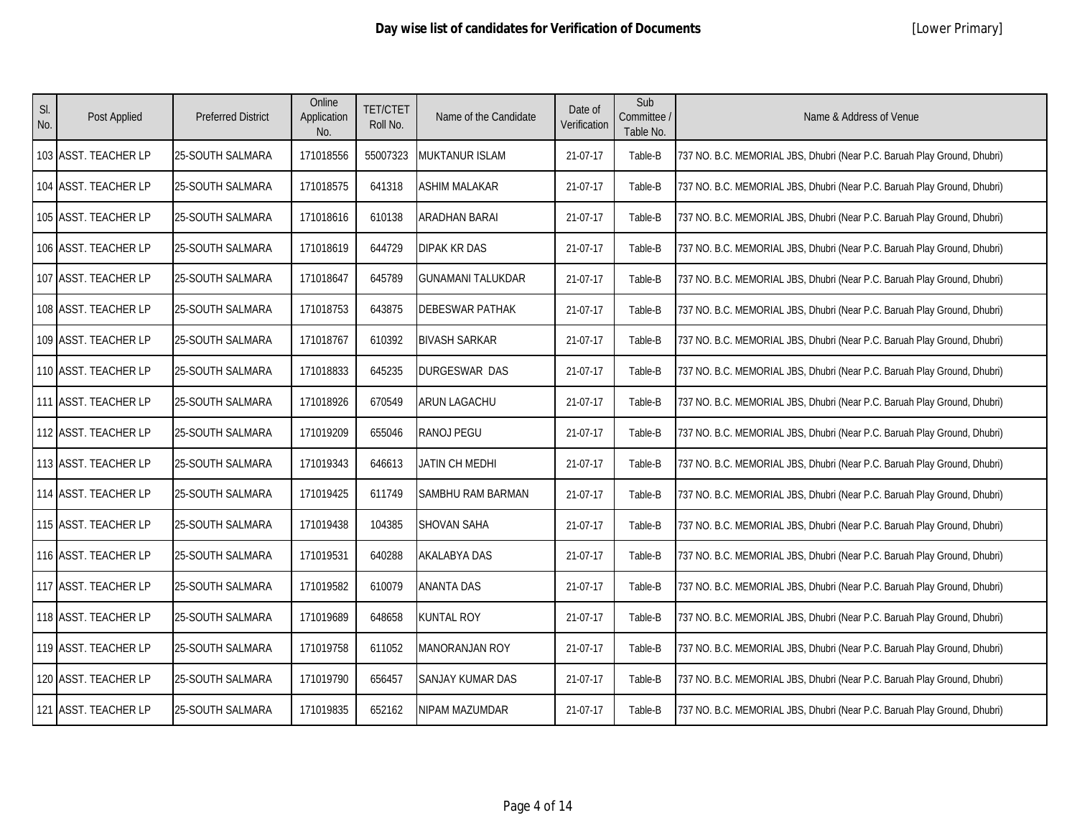| SI.<br>No. | Post Applied         | <b>Preferred District</b> | Online<br>Application<br>No. | <b>TET/CTET</b><br>Roll No. | Name of the Candidate    | Date of<br>Verification | Sub<br>Committee /<br>Table No. | Name & Address of Venue                                                  |
|------------|----------------------|---------------------------|------------------------------|-----------------------------|--------------------------|-------------------------|---------------------------------|--------------------------------------------------------------------------|
|            | 103 ASST. TEACHER LP | 25-SOUTH SALMARA          | 171018556                    | 55007323                    | MUKTANUR ISLAM           | 21-07-17                | Table-B                         | 737 NO. B.C. MEMORIAL JBS, Dhubri (Near P.C. Baruah Play Ground, Dhubri) |
|            | 104 ASST. TEACHER LP | 25-SOUTH SALMARA          | 171018575                    | 641318                      | ASHIM MALAKAR            | 21-07-17                | Table-B                         | 737 NO. B.C. MEMORIAL JBS, Dhubri (Near P.C. Baruah Play Ground, Dhubri) |
|            | 105 ASST. TEACHER LP | 25-SOUTH SALMARA          | 171018616                    | 610138                      | ARADHAN BARAI            | 21-07-17                | Table-B                         | 737 NO. B.C. MEMORIAL JBS, Dhubri (Near P.C. Baruah Play Ground, Dhubri) |
|            | 106 ASST. TEACHER LP | 25-SOUTH SALMARA          | 171018619                    | 644729                      | <b>DIPAK KR DAS</b>      | 21-07-17                | Table-B                         | 737 NO. B.C. MEMORIAL JBS, Dhubri (Near P.C. Baruah Play Ground, Dhubri) |
|            | 107 ASST. TEACHER LP | <b>25-SOUTH SALMARA</b>   | 171018647                    | 645789                      | <b>GUNAMANI TALUKDAR</b> | 21-07-17                | Table-B                         | 737 NO. B.C. MEMORIAL JBS, Dhubri (Near P.C. Baruah Play Ground, Dhubri) |
|            | 108 ASST. TEACHER LP | 25-SOUTH SALMARA          | 171018753                    | 643875                      | DEBESWAR PATHAK          | 21-07-17                | Table-B                         | 737 NO. B.C. MEMORIAL JBS, Dhubri (Near P.C. Baruah Play Ground, Dhubri) |
|            | 109 ASST. TEACHER LP | 25-SOUTH SALMARA          | 171018767                    | 610392                      | <b>BIVASH SARKAR</b>     | 21-07-17                | Table-B                         | 737 NO. B.C. MEMORIAL JBS, Dhubri (Near P.C. Baruah Play Ground, Dhubri) |
|            | 110 ASST. TEACHER LP | 25-SOUTH SALMARA          | 171018833                    | 645235                      | DURGESWAR DAS            | 21-07-17                | Table-B                         | 737 NO. B.C. MEMORIAL JBS, Dhubri (Near P.C. Baruah Play Ground, Dhubri) |
|            | 111 ASST. TEACHER LP | 25-SOUTH SALMARA          | 171018926                    | 670549                      | ARUN LAGACHU             | 21-07-17                | Table-B                         | 737 NO. B.C. MEMORIAL JBS, Dhubri (Near P.C. Baruah Play Ground, Dhubri) |
|            | 112 ASST. TEACHER LP | 25-SOUTH SALMARA          | 171019209                    | 655046                      | RANOJ PEGU               | 21-07-17                | Table-B                         | 737 NO. B.C. MEMORIAL JBS, Dhubri (Near P.C. Baruah Play Ground, Dhubri) |
|            | 113 ASST. TEACHER LP | 25-SOUTH SALMARA          | 171019343                    | 646613                      | JATIN CH MEDHI           | 21-07-17                | Table-B                         | 737 NO. B.C. MEMORIAL JBS, Dhubri (Near P.C. Baruah Play Ground, Dhubri) |
|            | 114 ASST. TEACHER LP | 25-SOUTH SALMARA          | 171019425                    | 611749                      | SAMBHU RAM BARMAN        | 21-07-17                | Table-B                         | 737 NO. B.C. MEMORIAL JBS, Dhubri (Near P.C. Baruah Play Ground, Dhubri) |
|            | 115 ASST. TEACHER LP | 25-SOUTH SALMARA          | 171019438                    | 104385                      | SHOVAN SAHA              | 21-07-17                | Table-B                         | 737 NO. B.C. MEMORIAL JBS, Dhubri (Near P.C. Baruah Play Ground, Dhubri) |
|            | 116 ASST. TEACHER LP | 25-SOUTH SALMARA          | 171019531                    | 640288                      | <b>AKALABYA DAS</b>      | 21-07-17                | Table-B                         | 737 NO. B.C. MEMORIAL JBS, Dhubri (Near P.C. Baruah Play Ground, Dhubri) |
|            | 117 ASST. TEACHER LP | 25-SOUTH SALMARA          | 171019582                    | 610079                      | <b>ANANTA DAS</b>        | 21-07-17                | Table-B                         | 737 NO. B.C. MEMORIAL JBS, Dhubri (Near P.C. Baruah Play Ground, Dhubri) |
|            | 118 ASST. TEACHER LP | 25-SOUTH SALMARA          | 171019689                    | 648658                      | <b>KUNTAL ROY</b>        | 21-07-17                | Table-B                         | 737 NO. B.C. MEMORIAL JBS, Dhubri (Near P.C. Baruah Play Ground, Dhubri) |
|            | 119 ASST. TEACHER LP | 25-SOUTH SALMARA          | 171019758                    | 611052                      | MANORANJAN ROY           | 21-07-17                | Table-B                         | 737 NO. B.C. MEMORIAL JBS, Dhubri (Near P.C. Baruah Play Ground, Dhubri) |
|            | 120 ASST. TEACHER LP | 25-SOUTH SALMARA          | 171019790                    | 656457                      | SANJAY KUMAR DAS         | 21-07-17                | Table-B                         | 737 NO. B.C. MEMORIAL JBS, Dhubri (Near P.C. Baruah Play Ground, Dhubri) |
|            | 121 ASST. TEACHER LP | 25-SOUTH SALMARA          | 171019835                    | 652162                      | NIPAM MAZUMDAR           | 21-07-17                | Table-B                         | 737 NO. B.C. MEMORIAL JBS, Dhubri (Near P.C. Baruah Play Ground, Dhubri) |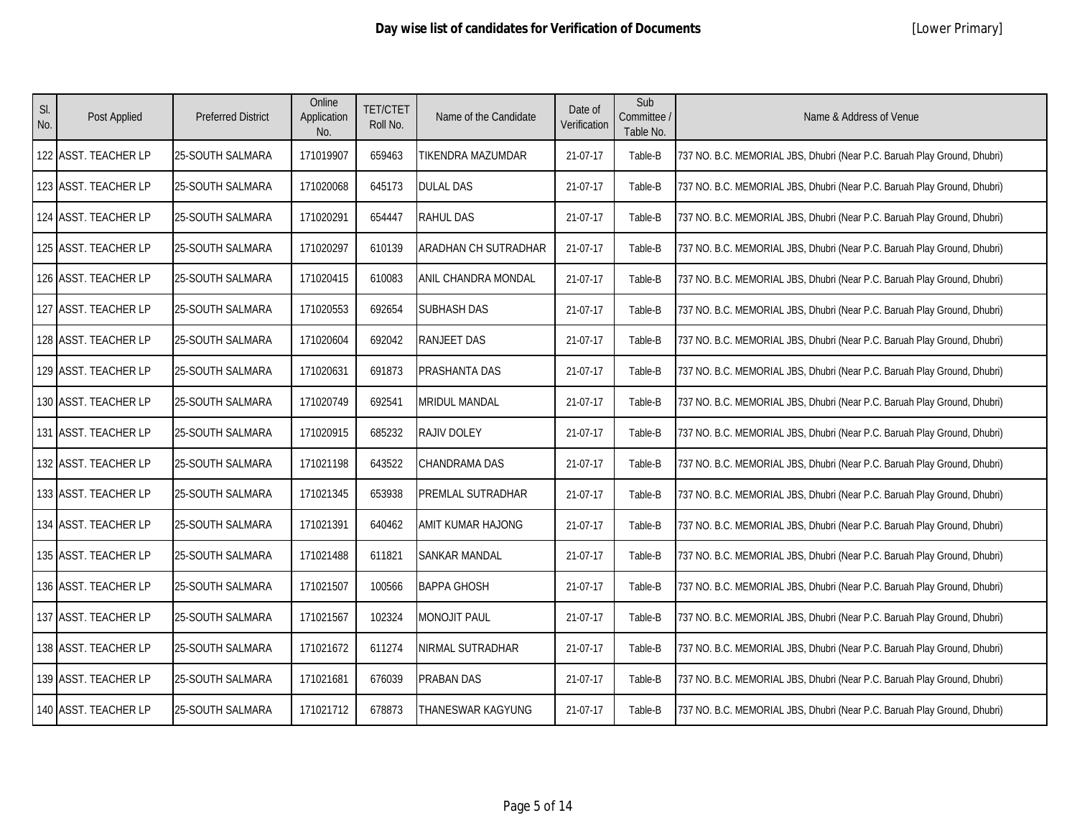| SI.<br>No. | Post Applied         | <b>Preferred District</b> | Online<br>Application<br>No. | <b>TET/CTET</b><br>Roll No. | Name of the Candidate | Date of<br>Verification | Sub<br>Committee /<br>Table No. | Name & Address of Venue                                                  |
|------------|----------------------|---------------------------|------------------------------|-----------------------------|-----------------------|-------------------------|---------------------------------|--------------------------------------------------------------------------|
|            | 122 ASST. TEACHER LP | 25-SOUTH SALMARA          | 171019907                    | 659463                      | TIKENDRA MAZUMDAR     | 21-07-17                | Table-B                         | 737 NO. B.C. MEMORIAL JBS, Dhubri (Near P.C. Baruah Play Ground, Dhubri) |
|            | 123 ASST. TEACHER LP | 25-SOUTH SALMARA          | 171020068                    | 645173                      | <b>DULAL DAS</b>      | 21-07-17                | Table-B                         | 737 NO. B.C. MEMORIAL JBS, Dhubri (Near P.C. Baruah Play Ground, Dhubri) |
|            | 124 ASST. TEACHER LP | <b>25-SOUTH SALMARA</b>   | 171020291                    | 654447                      | <b>RAHUL DAS</b>      | 21-07-17                | Table-B                         | 737 NO. B.C. MEMORIAL JBS, Dhubri (Near P.C. Baruah Play Ground, Dhubri) |
|            | 125 ASST. TEACHER LP | 25-SOUTH SALMARA          | 171020297                    | 610139                      | ARADHAN CH SUTRADHAR  | 21-07-17                | Table-B                         | 737 NO. B.C. MEMORIAL JBS, Dhubri (Near P.C. Baruah Play Ground, Dhubri) |
|            | 126 ASST. TEACHER LP | 25-SOUTH SALMARA          | 171020415                    | 610083                      | ANIL CHANDRA MONDAL   | 21-07-17                | Table-B                         | 737 NO. B.C. MEMORIAL JBS, Dhubri (Near P.C. Baruah Play Ground, Dhubri) |
|            | 127 ASST. TEACHER LP | 25-SOUTH SALMARA          | 171020553                    | 692654                      | <b>SUBHASH DAS</b>    | 21-07-17                | Table-B                         | 737 NO. B.C. MEMORIAL JBS, Dhubri (Near P.C. Baruah Play Ground, Dhubri) |
|            | 128 ASST. TEACHER LP | 25-SOUTH SALMARA          | 171020604                    | 692042                      | <b>RANJEET DAS</b>    | 21-07-17                | Table-B                         | 737 NO. B.C. MEMORIAL JBS, Dhubri (Near P.C. Baruah Play Ground, Dhubri) |
|            | 129 ASST. TEACHER LP | 25-SOUTH SALMARA          | 171020631                    | 691873                      | PRASHANTA DAS         | 21-07-17                | Table-B                         | 737 NO. B.C. MEMORIAL JBS, Dhubri (Near P.C. Baruah Play Ground, Dhubri) |
|            | 130 ASST. TEACHER LP | <b>25-SOUTH SALMARA</b>   | 171020749                    | 692541                      | <b>MRIDUL MANDAL</b>  | 21-07-17                | Table-B                         | 737 NO. B.C. MEMORIAL JBS, Dhubri (Near P.C. Baruah Play Ground, Dhubri) |
|            | 131 ASST. TEACHER LP | 25-SOUTH SALMARA          | 171020915                    | 685232                      | RAJIV DOLEY           | 21-07-17                | Table-B                         | 737 NO. B.C. MEMORIAL JBS, Dhubri (Near P.C. Baruah Play Ground, Dhubri) |
|            | 132 ASST. TEACHER LP | 25-SOUTH SALMARA          | 171021198                    | 643522                      | <b>CHANDRAMA DAS</b>  | 21-07-17                | Table-B                         | 737 NO. B.C. MEMORIAL JBS, Dhubri (Near P.C. Baruah Play Ground, Dhubri) |
|            | 133 ASST. TEACHER LP | 25-SOUTH SALMARA          | 171021345                    | 653938                      | PREMLAL SUTRADHAR     | 21-07-17                | Table-B                         | 737 NO. B.C. MEMORIAL JBS, Dhubri (Near P.C. Baruah Play Ground, Dhubri) |
|            | 134 ASST. TEACHER LP | 25-SOUTH SALMARA          | 171021391                    | 640462                      | AMIT KUMAR HAJONG     | 21-07-17                | Table-B                         | 737 NO. B.C. MEMORIAL JBS, Dhubri (Near P.C. Baruah Play Ground, Dhubri) |
|            | 135 ASST. TEACHER LP | 25-SOUTH SALMARA          | 171021488                    | 611821                      | <b>SANKAR MANDAL</b>  | 21-07-17                | Table-B                         | 737 NO. B.C. MEMORIAL JBS, Dhubri (Near P.C. Baruah Play Ground, Dhubri) |
|            | 136 ASST. TEACHER LP | 25-SOUTH SALMARA          | 171021507                    | 100566                      | <b>BAPPA GHOSH</b>    | 21-07-17                | Table-B                         | 737 NO. B.C. MEMORIAL JBS, Dhubri (Near P.C. Baruah Play Ground, Dhubri) |
|            | 137 ASST. TEACHER LP | 25-SOUTH SALMARA          | 171021567                    | 102324                      | <b>MONOJIT PAUL</b>   | 21-07-17                | Table-B                         | 737 NO. B.C. MEMORIAL JBS, Dhubri (Near P.C. Baruah Play Ground, Dhubri) |
|            | 138 ASST. TEACHER LP | 25-SOUTH SALMARA          | 171021672                    | 611274                      | NIRMAL SUTRADHAR      | 21-07-17                | Table-B                         | 737 NO. B.C. MEMORIAL JBS, Dhubri (Near P.C. Baruah Play Ground, Dhubri) |
|            | 139 ASST. TEACHER LP | 25-SOUTH SALMARA          | 171021681                    | 676039                      | PRABAN DAS            | 21-07-17                | Table-B                         | 737 NO. B.C. MEMORIAL JBS, Dhubri (Near P.C. Baruah Play Ground, Dhubri) |
|            | 140 ASST. TEACHER LP | 25-SOUTH SALMARA          | 171021712                    | 678873                      | THANESWAR KAGYUNG     | 21-07-17                | Table-B                         | 737 NO. B.C. MEMORIAL JBS, Dhubri (Near P.C. Baruah Play Ground, Dhubri) |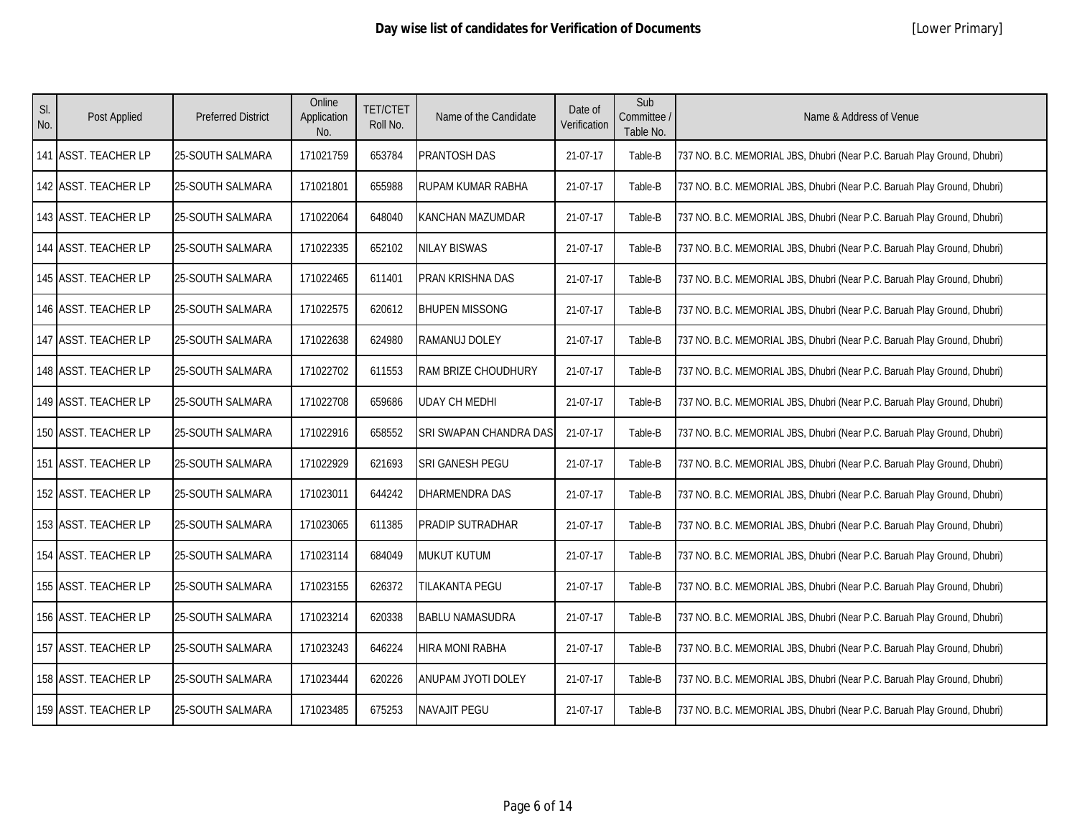| SI.<br>No. | Post Applied         | <b>Preferred District</b> | Online<br>Application<br>No. | <b>TET/CTET</b><br>Roll No. | Name of the Candidate  | Date of<br>Verification | Sub<br>Committee /<br>Table No. | Name & Address of Venue                                                  |
|------------|----------------------|---------------------------|------------------------------|-----------------------------|------------------------|-------------------------|---------------------------------|--------------------------------------------------------------------------|
|            | 141 ASST. TEACHER LP | 25-SOUTH SALMARA          | 171021759                    | 653784                      | PRANTOSH DAS           | 21-07-17                | Table-B                         | 737 NO. B.C. MEMORIAL JBS, Dhubri (Near P.C. Baruah Play Ground, Dhubri) |
|            | 142 ASST. TEACHER LP | 25-SOUTH SALMARA          | 171021801                    | 655988                      | RUPAM KUMAR RABHA      | 21-07-17                | Table-B                         | 737 NO. B.C. MEMORIAL JBS, Dhubri (Near P.C. Baruah Play Ground, Dhubri) |
|            | 143 ASST. TEACHER LP | 25-SOUTH SALMARA          | 171022064                    | 648040                      | KANCHAN MAZUMDAR       | 21-07-17                | Table-B                         | 737 NO. B.C. MEMORIAL JBS, Dhubri (Near P.C. Baruah Play Ground, Dhubri) |
|            | 144 ASST. TEACHER LP | <b>25-SOUTH SALMARA</b>   | 171022335                    | 652102                      | NILAY BISWAS           | 21-07-17                | Table-B                         | 737 NO. B.C. MEMORIAL JBS, Dhubri (Near P.C. Baruah Play Ground, Dhubri) |
|            | 145 ASST. TEACHER LP | 25-SOUTH SALMARA          | 171022465                    | 611401                      | PRAN KRISHNA DAS       | 21-07-17                | Table-B                         | 737 NO. B.C. MEMORIAL JBS, Dhubri (Near P.C. Baruah Play Ground, Dhubri) |
|            | 146 ASST. TEACHER LP | 25-SOUTH SALMARA          | 171022575                    | 620612                      | <b>BHUPEN MISSONG</b>  | 21-07-17                | Table-B                         | 737 NO. B.C. MEMORIAL JBS, Dhubri (Near P.C. Baruah Play Ground, Dhubri) |
|            | 147 ASST. TEACHER LP | 25-SOUTH SALMARA          | 171022638                    | 624980                      | RAMANUJ DOLEY          | 21-07-17                | Table-B                         | 737 NO. B.C. MEMORIAL JBS, Dhubri (Near P.C. Baruah Play Ground, Dhubri) |
|            | 148 ASST. TEACHER LP | <b>25-SOUTH SALMARA</b>   | 171022702                    | 611553                      | RAM BRIZE CHOUDHURY    | 21-07-17                | Table-B                         | 737 NO. B.C. MEMORIAL JBS, Dhubri (Near P.C. Baruah Play Ground, Dhubri) |
|            | 149 ASST. TEACHER LP | 25-SOUTH SALMARA          | 171022708                    | 659686                      | UDAY CH MEDHI          | 21-07-17                | Table-B                         | 737 NO. B.C. MEMORIAL JBS, Dhubri (Near P.C. Baruah Play Ground, Dhubri) |
|            | 150 ASST. TEACHER LP | 25-SOUTH SALMARA          | 171022916                    | 658552                      | SRI SWAPAN CHANDRA DAS | 21-07-17                | Table-B                         | 737 NO. B.C. MEMORIAL JBS, Dhubri (Near P.C. Baruah Play Ground, Dhubri) |
|            | 151 ASST. TEACHER LP | 25-SOUTH SALMARA          | 171022929                    | 621693                      | SRI GANESH PEGU        | 21-07-17                | Table-B                         | 737 NO. B.C. MEMORIAL JBS, Dhubri (Near P.C. Baruah Play Ground, Dhubri) |
|            | 152 ASST. TEACHER LP | 25-SOUTH SALMARA          | 171023011                    | 644242                      | DHARMENDRA DAS         | 21-07-17                | Table-B                         | 737 NO. B.C. MEMORIAL JBS, Dhubri (Near P.C. Baruah Play Ground, Dhubri) |
|            | 153 ASST. TEACHER LP | 25-SOUTH SALMARA          | 171023065                    | 611385                      | PRADIP SUTRADHAR       | 21-07-17                | Table-B                         | 737 NO. B.C. MEMORIAL JBS, Dhubri (Near P.C. Baruah Play Ground, Dhubri) |
|            | 154 ASST. TEACHER LP | 25-SOUTH SALMARA          | 171023114                    | 684049                      | MUKUT KUTUM            | 21-07-17                | Table-B                         | 737 NO. B.C. MEMORIAL JBS, Dhubri (Near P.C. Baruah Play Ground, Dhubri) |
|            | 155 ASST. TEACHER LP | 25-SOUTH SALMARA          | 171023155                    | 626372                      | TILAKANTA PEGU         | 21-07-17                | Table-B                         | 737 NO. B.C. MEMORIAL JBS, Dhubri (Near P.C. Baruah Play Ground, Dhubri) |
|            | 156 ASST. TEACHER LP | 25-SOUTH SALMARA          | 171023214                    | 620338                      | <b>BABLU NAMASUDRA</b> | 21-07-17                | Table-B                         | 737 NO. B.C. MEMORIAL JBS, Dhubri (Near P.C. Baruah Play Ground, Dhubri) |
|            | 157 ASST. TEACHER LP | 25-SOUTH SALMARA          | 171023243                    | 646224                      | HIRA MONI RABHA        | 21-07-17                | Table-B                         | 737 NO. B.C. MEMORIAL JBS, Dhubri (Near P.C. Baruah Play Ground, Dhubri) |
|            | 158 ASST. TEACHER LP | 25-SOUTH SALMARA          | 171023444                    | 620226                      | ANUPAM JYOTI DOLEY     | 21-07-17                | Table-B                         | 737 NO. B.C. MEMORIAL JBS, Dhubri (Near P.C. Baruah Play Ground, Dhubri) |
|            | 159 ASST. TEACHER LP | 25-SOUTH SALMARA          | 171023485                    | 675253                      | <b>NAVAJIT PEGU</b>    | 21-07-17                | Table-B                         | 737 NO. B.C. MEMORIAL JBS, Dhubri (Near P.C. Baruah Play Ground, Dhubri) |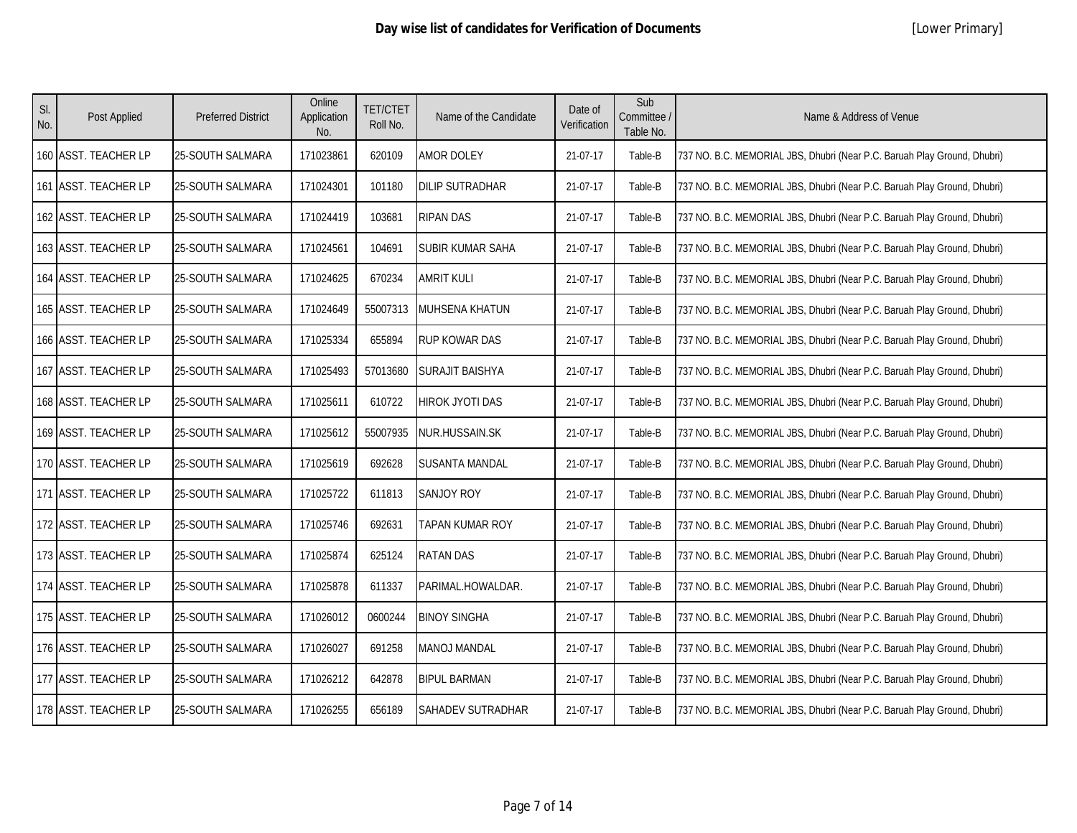| SI.<br>No. | Post Applied         | <b>Preferred District</b> | Online<br>Application<br>No. | <b>TET/CTET</b><br>Roll No. | Name of the Candidate    | Date of<br>Verification | Sub<br>Committee /<br>Table No. | Name & Address of Venue                                                  |
|------------|----------------------|---------------------------|------------------------------|-----------------------------|--------------------------|-------------------------|---------------------------------|--------------------------------------------------------------------------|
|            | 160 ASST. TEACHER LP | 25-SOUTH SALMARA          | 171023861                    | 620109                      | <b>AMOR DOLEY</b>        | 21-07-17                | Table-B                         | 737 NO. B.C. MEMORIAL JBS, Dhubri (Near P.C. Baruah Play Ground, Dhubri) |
|            | 161 ASST. TEACHER LP | 25-SOUTH SALMARA          | 171024301                    | 101180                      | <b>DILIP SUTRADHAR</b>   | 21-07-17                | Table-B                         | 737 NO. B.C. MEMORIAL JBS, Dhubri (Near P.C. Baruah Play Ground, Dhubri) |
|            | 162 ASST. TEACHER LP | 25-SOUTH SALMARA          | 171024419                    | 103681                      | <b>RIPAN DAS</b>         | 21-07-17                | Table-B                         | 737 NO. B.C. MEMORIAL JBS, Dhubri (Near P.C. Baruah Play Ground, Dhubri) |
|            | 163 ASST. TEACHER LP | 25-SOUTH SALMARA          | 171024561                    | 104691                      | SUBIR KUMAR SAHA         | 21-07-17                | Table-B                         | 737 NO. B.C. MEMORIAL JBS, Dhubri (Near P.C. Baruah Play Ground, Dhubri) |
|            | 164 ASST. TEACHER LP | <b>25-SOUTH SALMARA</b>   | 171024625                    | 670234                      | <b>AMRIT KULI</b>        | 21-07-17                | Table-B                         | 737 NO. B.C. MEMORIAL JBS, Dhubri (Near P.C. Baruah Play Ground, Dhubri) |
|            | 165 ASST. TEACHER LP | 25-SOUTH SALMARA          | 171024649                    | 55007313                    | MUHSENA KHATUN           | 21-07-17                | Table-B                         | 737 NO. B.C. MEMORIAL JBS, Dhubri (Near P.C. Baruah Play Ground, Dhubri) |
|            | 166 ASST. TEACHER LP | 25-SOUTH SALMARA          | 171025334                    | 655894                      | RUP KOWAR DAS            | 21-07-17                | Table-B                         | 737 NO. B.C. MEMORIAL JBS, Dhubri (Near P.C. Baruah Play Ground, Dhubri) |
|            | 167 ASST. TEACHER LP | 25-SOUTH SALMARA          | 171025493                    | 57013680                    | <b>SURAJIT BAISHYA</b>   | 21-07-17                | Table-B                         | 737 NO. B.C. MEMORIAL JBS, Dhubri (Near P.C. Baruah Play Ground, Dhubri) |
|            | 168 ASST. TEACHER LP | 25-SOUTH SALMARA          | 171025611                    | 610722                      | HIROK JYOTI DAS          | 21-07-17                | Table-B                         | 737 NO. B.C. MEMORIAL JBS, Dhubri (Near P.C. Baruah Play Ground, Dhubri) |
|            | 169 ASST. TEACHER LP | 25-SOUTH SALMARA          | 171025612                    | 55007935                    | NUR.HUSSAIN.SK           | 21-07-17                | Table-B                         | 737 NO. B.C. MEMORIAL JBS, Dhubri (Near P.C. Baruah Play Ground, Dhubri) |
|            | 170 ASST. TEACHER LP | 25-SOUTH SALMARA          | 171025619                    | 692628                      | <b>SUSANTA MANDAL</b>    | 21-07-17                | Table-B                         | 737 NO. B.C. MEMORIAL JBS, Dhubri (Near P.C. Baruah Play Ground, Dhubri) |
|            | 171 ASST. TEACHER LP | 25-SOUTH SALMARA          | 171025722                    | 611813                      | <b>SANJOY ROY</b>        | 21-07-17                | Table-B                         | 737 NO. B.C. MEMORIAL JBS, Dhubri (Near P.C. Baruah Play Ground, Dhubri) |
|            | 172 ASST. TEACHER LP | 25-SOUTH SALMARA          | 171025746                    | 692631                      | TAPAN KUMAR ROY          | 21-07-17                | Table-B                         | 737 NO. B.C. MEMORIAL JBS, Dhubri (Near P.C. Baruah Play Ground, Dhubri) |
|            | 173 ASST. TEACHER LP | 25-SOUTH SALMARA          | 171025874                    | 625124                      | <b>RATAN DAS</b>         | 21-07-17                | Table-B                         | 737 NO. B.C. MEMORIAL JBS, Dhubri (Near P.C. Baruah Play Ground, Dhubri) |
|            | 174 ASST. TEACHER LP | 25-SOUTH SALMARA          | 171025878                    | 611337                      | PARIMAL.HOWALDAR.        | 21-07-17                | Table-B                         | 737 NO. B.C. MEMORIAL JBS, Dhubri (Near P.C. Baruah Play Ground, Dhubri) |
|            | 175 ASST. TEACHER LP | 25-SOUTH SALMARA          | 171026012                    | 0600244                     | <b>BINOY SINGHA</b>      | 21-07-17                | Table-B                         | 737 NO. B.C. MEMORIAL JBS, Dhubri (Near P.C. Baruah Play Ground, Dhubri) |
|            | 176 ASST. TEACHER LP | 25-SOUTH SALMARA          | 171026027                    | 691258                      | MANOJ MANDAL             | 21-07-17                | Table-B                         | 737 NO. B.C. MEMORIAL JBS, Dhubri (Near P.C. Baruah Play Ground, Dhubri) |
|            | 177 ASST. TEACHER LP | 25-SOUTH SALMARA          | 171026212                    | 642878                      | <b>BIPUL BARMAN</b>      | 21-07-17                | Table-B                         | 737 NO. B.C. MEMORIAL JBS, Dhubri (Near P.C. Baruah Play Ground, Dhubri) |
|            | 178 ASST. TEACHER LP | 25-SOUTH SALMARA          | 171026255                    | 656189                      | <b>SAHADEV SUTRADHAR</b> | 21-07-17                | Table-B                         | 737 NO. B.C. MEMORIAL JBS, Dhubri (Near P.C. Baruah Play Ground, Dhubri) |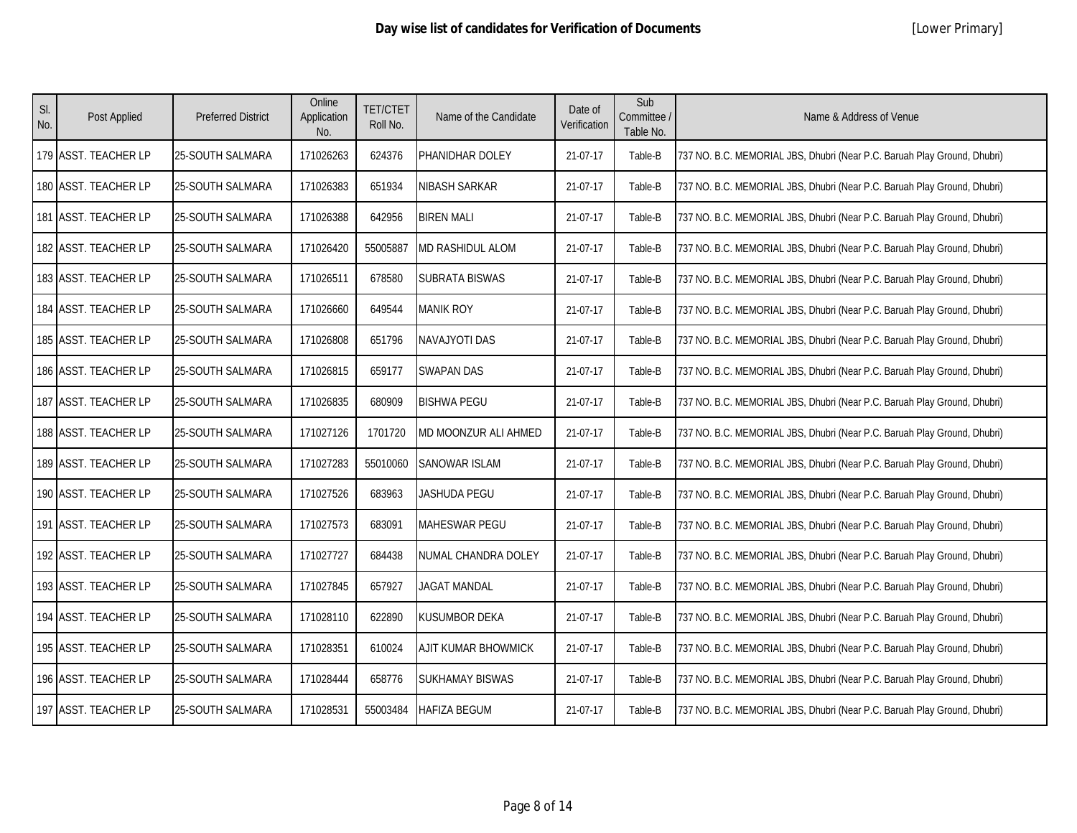| SI.<br>No. | Post Applied         | <b>Preferred District</b> | Online<br>Application<br>No. | <b>TET/CTET</b><br>Roll No. | Name of the Candidate   | Date of<br>Verification | Sub<br>Committee /<br>Table No. | Name & Address of Venue                                                  |
|------------|----------------------|---------------------------|------------------------------|-----------------------------|-------------------------|-------------------------|---------------------------------|--------------------------------------------------------------------------|
|            | 179 ASST. TEACHER LP | 25-SOUTH SALMARA          | 171026263                    | 624376                      | PHANIDHAR DOLEY         | 21-07-17                | Table-B                         | 737 NO. B.C. MEMORIAL JBS, Dhubri (Near P.C. Baruah Play Ground, Dhubri) |
|            | 180 ASST. TEACHER LP | 25-SOUTH SALMARA          | 171026383                    | 651934                      | NIBASH SARKAR           | 21-07-17                | Table-B                         | 737 NO. B.C. MEMORIAL JBS, Dhubri (Near P.C. Baruah Play Ground, Dhubri) |
|            | 181 ASST. TEACHER LP | <b>25-SOUTH SALMARA</b>   | 171026388                    | 642956                      | <b>BIREN MALI</b>       | 21-07-17                | Table-B                         | 737 NO. B.C. MEMORIAL JBS, Dhubri (Near P.C. Baruah Play Ground, Dhubri) |
|            | 182 ASST. TEACHER LP | 25-SOUTH SALMARA          | 171026420                    | 55005887                    | <b>MD RASHIDUL ALOM</b> | 21-07-17                | Table-B                         | 737 NO. B.C. MEMORIAL JBS, Dhubri (Near P.C. Baruah Play Ground, Dhubri) |
|            | 183 ASST. TEACHER LP | 25-SOUTH SALMARA          | 171026511                    | 678580                      | SUBRATA BISWAS          | 21-07-17                | Table-B                         | 737 NO. B.C. MEMORIAL JBS, Dhubri (Near P.C. Baruah Play Ground, Dhubri) |
|            | 184 ASST. TEACHER LP | 25-SOUTH SALMARA          | 171026660                    | 649544                      | <b>MANIK ROY</b>        | 21-07-17                | Table-B                         | 737 NO. B.C. MEMORIAL JBS, Dhubri (Near P.C. Baruah Play Ground, Dhubri) |
|            | 185 ASST. TEACHER LP | 25-SOUTH SALMARA          | 171026808                    | 651796                      | NAVAJYOTI DAS           | 21-07-17                | Table-B                         | 737 NO. B.C. MEMORIAL JBS, Dhubri (Near P.C. Baruah Play Ground, Dhubri) |
|            | 186 ASST. TEACHER LP | 25-SOUTH SALMARA          | 171026815                    | 659177                      | <b>SWAPAN DAS</b>       | 21-07-17                | Table-B                         | 737 NO. B.C. MEMORIAL JBS, Dhubri (Near P.C. Baruah Play Ground, Dhubri) |
|            | 187 ASST. TEACHER LP | <b>25-SOUTH SALMARA</b>   | 171026835                    | 680909                      | <b>BISHWA PEGU</b>      | 21-07-17                | Table-B                         | 737 NO. B.C. MEMORIAL JBS, Dhubri (Near P.C. Baruah Play Ground, Dhubri) |
|            | 188 ASST. TEACHER LP | 25-SOUTH SALMARA          | 171027126                    | 1701720                     | MD MOONZUR ALI AHMED    | 21-07-17                | Table-B                         | 737 NO. B.C. MEMORIAL JBS, Dhubri (Near P.C. Baruah Play Ground, Dhubri) |
|            | 189 ASST. TEACHER LP | 25-SOUTH SALMARA          | 171027283                    | 55010060                    | <b>SANOWAR ISLAM</b>    | 21-07-17                | Table-B                         | 737 NO. B.C. MEMORIAL JBS, Dhubri (Near P.C. Baruah Play Ground, Dhubri) |
|            | 190 ASST. TEACHER LP | 25-SOUTH SALMARA          | 171027526                    | 683963                      | JASHUDA PEGU            | 21-07-17                | Table-B                         | 737 NO. B.C. MEMORIAL JBS, Dhubri (Near P.C. Baruah Play Ground, Dhubri) |
|            | 191 ASST. TEACHER LP | 25-SOUTH SALMARA          | 171027573                    | 683091                      | MAHESWAR PEGU           | 21-07-17                | Table-B                         | 737 NO. B.C. MEMORIAL JBS, Dhubri (Near P.C. Baruah Play Ground, Dhubri) |
|            | 192 ASST. TEACHER LP | 25-SOUTH SALMARA          | 171027727                    | 684438                      | NUMAL CHANDRA DOLEY     | 21-07-17                | Table-B                         | 737 NO. B.C. MEMORIAL JBS, Dhubri (Near P.C. Baruah Play Ground, Dhubri) |
|            | 193 ASST. TEACHER LP | 25-SOUTH SALMARA          | 171027845                    | 657927                      | <b>JAGAT MANDAL</b>     | 21-07-17                | Table-B                         | 737 NO. B.C. MEMORIAL JBS, Dhubri (Near P.C. Baruah Play Ground, Dhubri) |
|            | 194 ASST. TEACHER LP | 25-SOUTH SALMARA          | 171028110                    | 622890                      | KUSUMBOR DEKA           | 21-07-17                | Table-B                         | 737 NO. B.C. MEMORIAL JBS, Dhubri (Near P.C. Baruah Play Ground, Dhubri) |
|            | 195 ASST. TEACHER LP | 25-SOUTH SALMARA          | 171028351                    | 610024                      | AJIT KUMAR BHOWMICK     | 21-07-17                | Table-B                         | 737 NO. B.C. MEMORIAL JBS, Dhubri (Near P.C. Baruah Play Ground, Dhubri) |
|            | 196 ASST. TEACHER LP | 25-SOUTH SALMARA          | 171028444                    | 658776                      | <b>SUKHAMAY BISWAS</b>  | 21-07-17                | Table-B                         | 737 NO. B.C. MEMORIAL JBS, Dhubri (Near P.C. Baruah Play Ground, Dhubri) |
|            | 197 ASST. TEACHER LP | 25-SOUTH SALMARA          | 171028531                    | 55003484                    | <b>HAFIZA BEGUM</b>     | 21-07-17                | Table-B                         | 737 NO. B.C. MEMORIAL JBS, Dhubri (Near P.C. Baruah Play Ground, Dhubri) |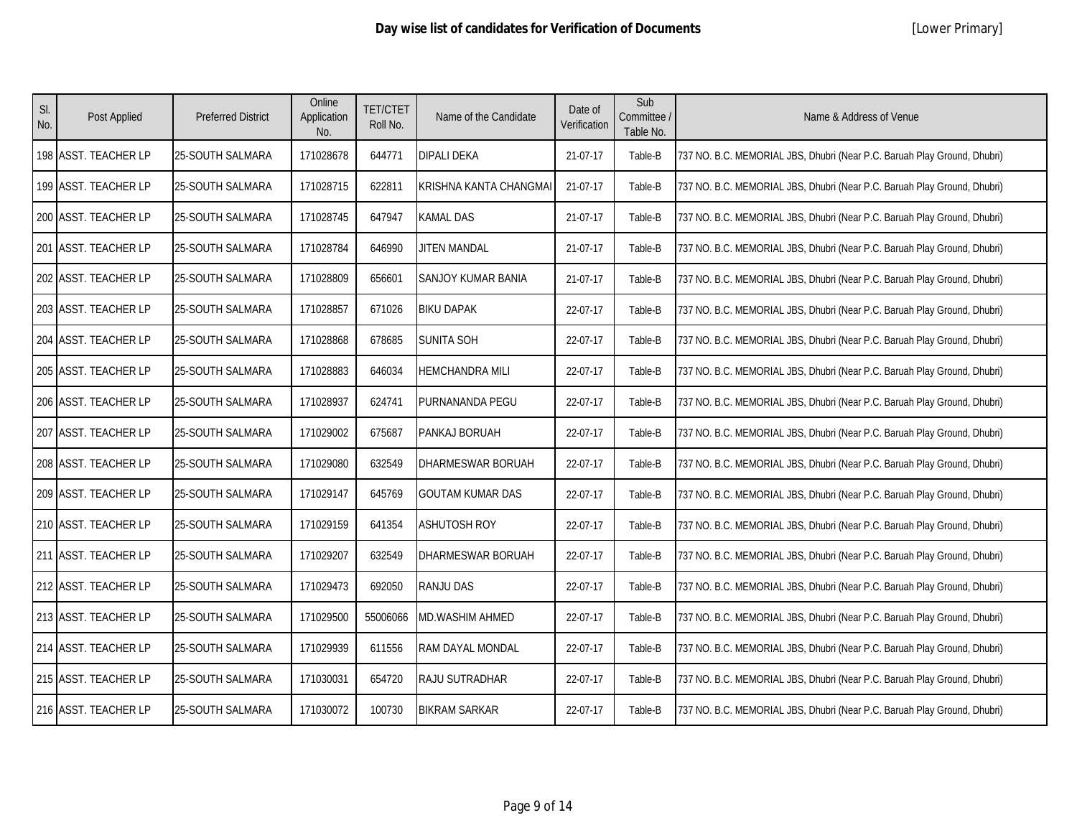| SI.<br>No. | Post Applied         | <b>Preferred District</b> | Online<br>Application<br>No. | <b>TET/CTET</b><br>Roll No. | Name of the Candidate     | Date of<br>Verification | Sub<br>Committee /<br>Table No. | Name & Address of Venue                                                  |
|------------|----------------------|---------------------------|------------------------------|-----------------------------|---------------------------|-------------------------|---------------------------------|--------------------------------------------------------------------------|
|            | 198 ASST. TEACHER LP | 25-SOUTH SALMARA          | 171028678                    | 644771                      | <b>DIPALI DEKA</b>        | 21-07-17                | Table-B                         | 737 NO. B.C. MEMORIAL JBS, Dhubri (Near P.C. Baruah Play Ground, Dhubri) |
|            | 199 ASST. TEACHER LP | 25-SOUTH SALMARA          | 171028715                    | 622811                      | KRISHNA KANTA CHANGMAI    | 21-07-17                | Table-B                         | 737 NO. B.C. MEMORIAL JBS, Dhubri (Near P.C. Baruah Play Ground, Dhubri) |
|            | 200 ASST. TEACHER LP | 25-SOUTH SALMARA          | 171028745                    | 647947                      | <b>KAMAL DAS</b>          | 21-07-17                | Table-B                         | 737 NO. B.C. MEMORIAL JBS, Dhubri (Near P.C. Baruah Play Ground, Dhubri) |
|            | 201 ASST. TEACHER LP | 25-SOUTH SALMARA          | 171028784                    | 646990                      | <b>JITEN MANDAL</b>       | 21-07-17                | Table-B                         | 737 NO. B.C. MEMORIAL JBS, Dhubri (Near P.C. Baruah Play Ground, Dhubri) |
|            | 202 ASST. TEACHER LP | 25-SOUTH SALMARA          | 171028809                    | 656601                      | <b>SANJOY KUMAR BANIA</b> | 21-07-17                | Table-B                         | 737 NO. B.C. MEMORIAL JBS, Dhubri (Near P.C. Baruah Play Ground, Dhubri) |
|            | 203 ASST. TEACHER LP | 25-SOUTH SALMARA          | 171028857                    | 671026                      | <b>BIKU DAPAK</b>         | 22-07-17                | Table-B                         | 737 NO. B.C. MEMORIAL JBS, Dhubri (Near P.C. Baruah Play Ground, Dhubri) |
|            | 204 ASST. TEACHER LP | 25-SOUTH SALMARA          | 171028868                    | 678685                      | <b>SUNITA SOH</b>         | 22-07-17                | Table-B                         | 737 NO. B.C. MEMORIAL JBS, Dhubri (Near P.C. Baruah Play Ground, Dhubri) |
|            | 205 ASST. TEACHER LP | 25-SOUTH SALMARA          | 171028883                    | 646034                      | <b>HEMCHANDRA MILI</b>    | 22-07-17                | Table-B                         | 737 NO. B.C. MEMORIAL JBS, Dhubri (Near P.C. Baruah Play Ground, Dhubri) |
|            | 206 ASST. TEACHER LP | 25-SOUTH SALMARA          | 171028937                    | 624741                      | PURNANANDA PEGU           | 22-07-17                | Table-B                         | 737 NO. B.C. MEMORIAL JBS, Dhubri (Near P.C. Baruah Play Ground, Dhubri) |
|            | 207 ASST. TEACHER LP | 25-SOUTH SALMARA          | 171029002                    | 675687                      | PANKAJ BORUAH             | 22-07-17                | Table-B                         | 737 NO. B.C. MEMORIAL JBS, Dhubri (Near P.C. Baruah Play Ground, Dhubri) |
|            | 208 ASST. TEACHER LP | 25-SOUTH SALMARA          | 171029080                    | 632549                      | DHARMESWAR BORUAH         | 22-07-17                | Table-B                         | 737 NO. B.C. MEMORIAL JBS, Dhubri (Near P.C. Baruah Play Ground, Dhubri) |
|            | 209 ASST. TEACHER LP | <b>25-SOUTH SALMARA</b>   | 171029147                    | 645769                      | GOUTAM KUMAR DAS          | 22-07-17                | Table-B                         | 737 NO. B.C. MEMORIAL JBS, Dhubri (Near P.C. Baruah Play Ground, Dhubri) |
|            | 210 ASST. TEACHER LP | 25-SOUTH SALMARA          | 171029159                    | 641354                      | <b>ASHUTOSH ROY</b>       | 22-07-17                | Table-B                         | 737 NO. B.C. MEMORIAL JBS, Dhubri (Near P.C. Baruah Play Ground, Dhubri) |
|            | 211 ASST. TEACHER LP | <b>25-SOUTH SALMARA</b>   | 171029207                    | 632549                      | DHARMESWAR BORUAH         | 22-07-17                | Table-B                         | 737 NO. B.C. MEMORIAL JBS, Dhubri (Near P.C. Baruah Play Ground, Dhubri) |
|            | 212 ASST. TEACHER LP | 25-SOUTH SALMARA          | 171029473                    | 692050                      | RANJU DAS                 | 22-07-17                | Table-B                         | 737 NO. B.C. MEMORIAL JBS, Dhubri (Near P.C. Baruah Play Ground, Dhubri) |
|            | 213 ASST. TEACHER LP | 25-SOUTH SALMARA          | 171029500                    | 55006066                    | <b>MD.WASHIM AHMED</b>    | 22-07-17                | Table-B                         | 737 NO. B.C. MEMORIAL JBS, Dhubri (Near P.C. Baruah Play Ground, Dhubri) |
|            | 214 ASST. TEACHER LP | 25-SOUTH SALMARA          | 171029939                    | 611556                      | RAM DAYAL MONDAL          | 22-07-17                | Table-B                         | 737 NO. B.C. MEMORIAL JBS, Dhubri (Near P.C. Baruah Play Ground, Dhubri) |
|            | 215 ASST. TEACHER LP | 25-SOUTH SALMARA          | 171030031                    | 654720                      | RAJU SUTRADHAR            | 22-07-17                | Table-B                         | 737 NO. B.C. MEMORIAL JBS, Dhubri (Near P.C. Baruah Play Ground, Dhubri) |
|            | 216 ASST. TEACHER LP | <b>25-SOUTH SALMARA</b>   | 171030072                    | 100730                      | <b>BIKRAM SARKAR</b>      | 22-07-17                | Table-B                         | 737 NO. B.C. MEMORIAL JBS, Dhubri (Near P.C. Baruah Play Ground, Dhubri) |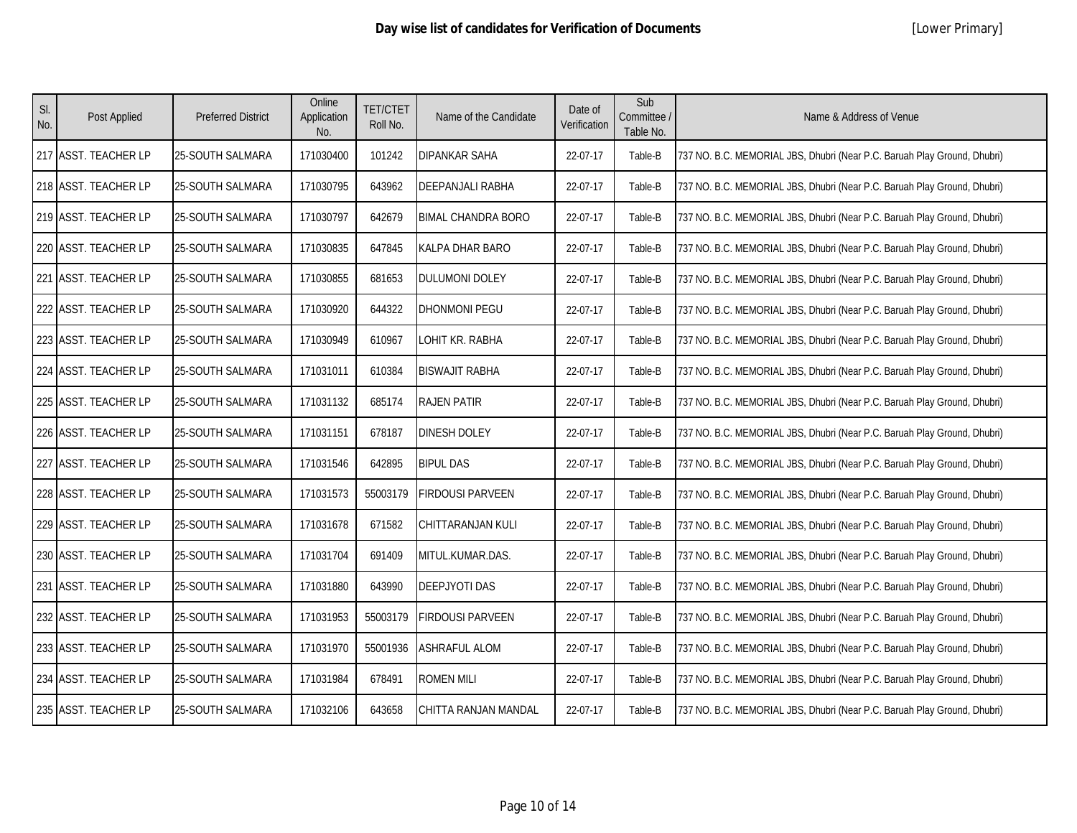| SI.<br>No. | Post Applied         | <b>Preferred District</b> | Online<br>Application<br>No. | <b>TET/CTET</b><br>Roll No. | Name of the Candidate     | Date of<br>Verification | Sub<br>Committee /<br>Table No. | Name & Address of Venue                                                  |
|------------|----------------------|---------------------------|------------------------------|-----------------------------|---------------------------|-------------------------|---------------------------------|--------------------------------------------------------------------------|
|            | 217 ASST. TEACHER LP | 25-SOUTH SALMARA          | 171030400                    | 101242                      | DIPANKAR SAHA             | 22-07-17                | Table-B                         | 737 NO. B.C. MEMORIAL JBS, Dhubri (Near P.C. Baruah Play Ground, Dhubri) |
|            | 218 ASST. TEACHER LP | <b>25-SOUTH SALMARA</b>   | 171030795                    | 643962                      | DEEPANJALI RABHA          | 22-07-17                | Table-B                         | 737 NO. B.C. MEMORIAL JBS, Dhubri (Near P.C. Baruah Play Ground, Dhubri) |
|            | 219 ASST. TEACHER LP | 25-SOUTH SALMARA          | 171030797                    | 642679                      | <b>BIMAL CHANDRA BORO</b> | 22-07-17                | Table-B                         | 737 NO. B.C. MEMORIAL JBS, Dhubri (Near P.C. Baruah Play Ground, Dhubri) |
|            | 220 ASST. TEACHER LP | 25-SOUTH SALMARA          | 171030835                    | 647845                      | KALPA DHAR BARO           | 22-07-17                | Table-B                         | 737 NO. B.C. MEMORIAL JBS, Dhubri (Near P.C. Baruah Play Ground, Dhubri) |
|            | 221 ASST. TEACHER LP | 25-SOUTH SALMARA          | 171030855                    | 681653                      | DULUMONI DOLEY            | 22-07-17                | Table-B                         | 737 NO. B.C. MEMORIAL JBS, Dhubri (Near P.C. Baruah Play Ground, Dhubri) |
|            | 222 ASST. TEACHER LP | 25-SOUTH SALMARA          | 171030920                    | 644322                      | DHONMONI PEGU             | 22-07-17                | Table-B                         | 737 NO. B.C. MEMORIAL JBS, Dhubri (Near P.C. Baruah Play Ground, Dhubri) |
|            | 223 ASST. TEACHER LP | 25-SOUTH SALMARA          | 171030949                    | 610967                      | OHIT KR. RABHA            | 22-07-17                | Table-B                         | 737 NO. B.C. MEMORIAL JBS, Dhubri (Near P.C. Baruah Play Ground, Dhubri) |
|            | 224 ASST. TEACHER LP | 25-SOUTH SALMARA          | 171031011                    | 610384                      | <b>BISWAJIT RABHA</b>     | 22-07-17                | Table-B                         | 737 NO. B.C. MEMORIAL JBS, Dhubri (Near P.C. Baruah Play Ground, Dhubri) |
|            | 225 ASST. TEACHER LP | 25-SOUTH SALMARA          | 171031132                    | 685174                      | <b>RAJEN PATIR</b>        | 22-07-17                | Table-B                         | 737 NO. B.C. MEMORIAL JBS, Dhubri (Near P.C. Baruah Play Ground, Dhubri) |
|            | 226 ASST. TEACHER LP | 25-SOUTH SALMARA          | 171031151                    | 678187                      | DINESH DOLEY              | 22-07-17                | Table-B                         | 737 NO. B.C. MEMORIAL JBS, Dhubri (Near P.C. Baruah Play Ground, Dhubri) |
|            | 227 ASST. TEACHER LP | 25-SOUTH SALMARA          | 171031546                    | 642895                      | <b>BIPUL DAS</b>          | 22-07-17                | Table-B                         | 737 NO. B.C. MEMORIAL JBS, Dhubri (Near P.C. Baruah Play Ground, Dhubri) |
|            | 228 ASST. TEACHER LP | 25-SOUTH SALMARA          | 171031573                    | 55003179                    | <b>FIRDOUSI PARVEEN</b>   | 22-07-17                | Table-B                         | 737 NO. B.C. MEMORIAL JBS, Dhubri (Near P.C. Baruah Play Ground, Dhubri) |
|            | 229 ASST. TEACHER LP | <b>25-SOUTH SALMARA</b>   | 171031678                    | 671582                      | CHITTARANJAN KULI         | 22-07-17                | Table-B                         | 737 NO. B.C. MEMORIAL JBS, Dhubri (Near P.C. Baruah Play Ground, Dhubri) |
|            | 230 ASST. TEACHER LP | 25-SOUTH SALMARA          | 171031704                    | 691409                      | MITUL.KUMAR.DAS.          | 22-07-17                | Table-B                         | 737 NO. B.C. MEMORIAL JBS, Dhubri (Near P.C. Baruah Play Ground, Dhubri) |
|            | 231 ASST. TEACHER LP | 25-SOUTH SALMARA          | 171031880                    | 643990                      | <b>DEEPJYOTI DAS</b>      | 22-07-17                | Table-B                         | 737 NO. B.C. MEMORIAL JBS, Dhubri (Near P.C. Baruah Play Ground, Dhubri) |
|            | 232 ASST. TEACHER LP | 25-SOUTH SALMARA          | 171031953                    | 55003179                    | FIRDOUSI PARVEEN          | 22-07-17                | Table-B                         | 737 NO. B.C. MEMORIAL JBS, Dhubri (Near P.C. Baruah Play Ground, Dhubri) |
|            | 233 ASST. TEACHER LP | 25-SOUTH SALMARA          | 171031970                    | 55001936                    | ASHRAFUL ALOM             | 22-07-17                | Table-B                         | 737 NO. B.C. MEMORIAL JBS, Dhubri (Near P.C. Baruah Play Ground, Dhubri) |
|            | 234 ASST. TEACHER LP | 25-SOUTH SALMARA          | 171031984                    | 678491                      | <b>ROMEN MILI</b>         | 22-07-17                | Table-B                         | 737 NO. B.C. MEMORIAL JBS, Dhubri (Near P.C. Baruah Play Ground, Dhubri) |
|            | 235 ASST. TEACHER LP | 25-SOUTH SALMARA          | 171032106                    | 643658                      | CHITTA RANJAN MANDAL      | 22-07-17                | Table-B                         | 737 NO. B.C. MEMORIAL JBS, Dhubri (Near P.C. Baruah Play Ground, Dhubri) |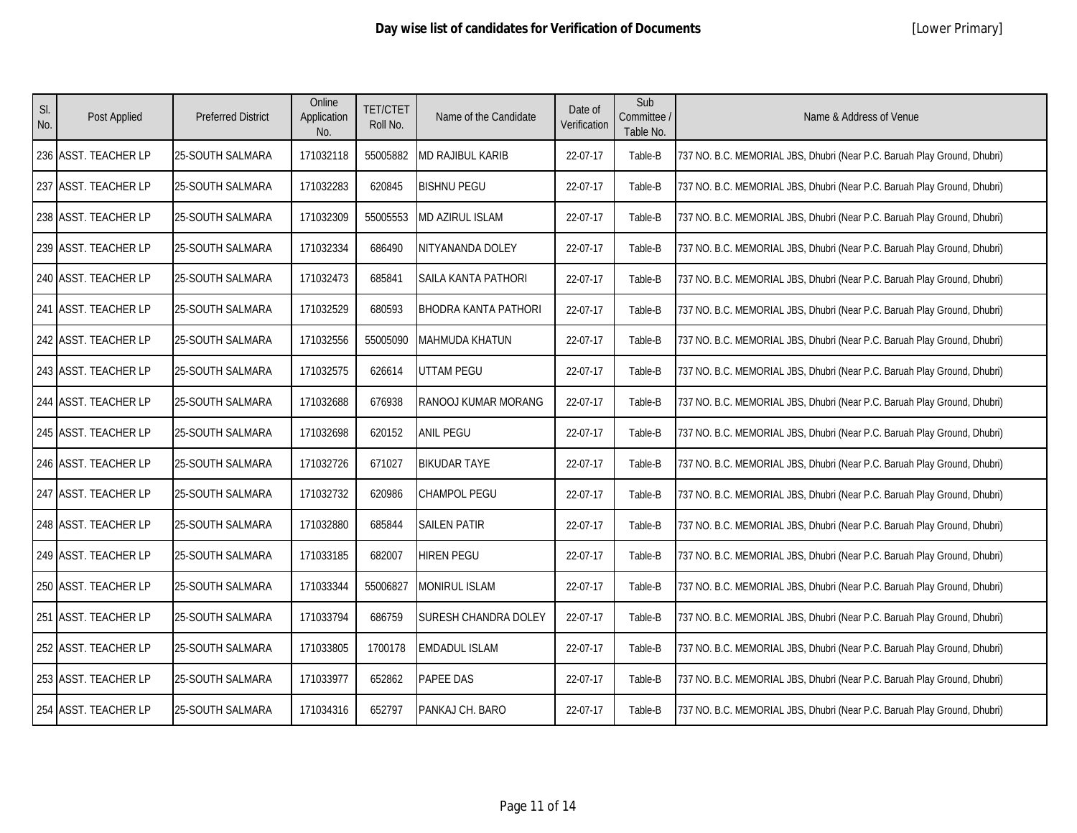| SI.<br>No. | Post Applied            | <b>Preferred District</b> | Online<br>Application<br>No. | <b>TET/CTET</b><br>Roll No. | Name of the Candidate       | Date of<br>Verification | Sub<br>Committee /<br>Table No. | Name & Address of Venue                                                  |
|------------|-------------------------|---------------------------|------------------------------|-----------------------------|-----------------------------|-------------------------|---------------------------------|--------------------------------------------------------------------------|
|            | 236 ASST. TEACHER LP    | 25-SOUTH SALMARA          | 171032118                    | 55005882                    | MD RAJIBUL KARIB            | 22-07-17                | Table-B                         | 737 NO. B.C. MEMORIAL JBS, Dhubri (Near P.C. Baruah Play Ground, Dhubri) |
| 237        | <b>ASST. TEACHER LP</b> | 25-SOUTH SALMARA          | 171032283                    | 620845                      | <b>BISHNU PEGU</b>          | 22-07-17                | Table-B                         | 737 NO. B.C. MEMORIAL JBS, Dhubri (Near P.C. Baruah Play Ground, Dhubri) |
|            | 238 ASST. TEACHER LP    | 25-SOUTH SALMARA          | 171032309                    | 55005553                    | MD AZIRUL ISLAM             | 22-07-17                | Table-B                         | 737 NO. B.C. MEMORIAL JBS, Dhubri (Near P.C. Baruah Play Ground, Dhubri) |
|            | 239 ASST. TEACHER LP    | 25-SOUTH SALMARA          | 171032334                    | 686490                      | NITYANANDA DOLEY            | 22-07-17                | Table-B                         | 737 NO. B.C. MEMORIAL JBS, Dhubri (Near P.C. Baruah Play Ground, Dhubri) |
|            | 240 ASST. TEACHER LP    | 25-SOUTH SALMARA          | 171032473                    | 685841                      | SAILA KANTA PATHORI         | 22-07-17                | Table-B                         | 737 NO. B.C. MEMORIAL JBS, Dhubri (Near P.C. Baruah Play Ground, Dhubri) |
|            | 241 ASST. TEACHER LP    | 25-SOUTH SALMARA          | 171032529                    | 680593                      | <b>BHODRA KANTA PATHORI</b> | 22-07-17                | Table-B                         | 737 NO. B.C. MEMORIAL JBS, Dhubri (Near P.C. Baruah Play Ground, Dhubri) |
|            | 242 ASST. TEACHER LP    | <b>25-SOUTH SALMARA</b>   | 171032556                    | 55005090                    | MAHMUDA KHATUN              | 22-07-17                | Table-B                         | 737 NO. B.C. MEMORIAL JBS, Dhubri (Near P.C. Baruah Play Ground, Dhubri) |
|            | 243 ASST. TEACHER LP    | 25-SOUTH SALMARA          | 171032575                    | 626614                      | UTTAM PEGU                  | 22-07-17                | Table-B                         | 737 NO. B.C. MEMORIAL JBS, Dhubri (Near P.C. Baruah Play Ground, Dhubri) |
|            | 244 ASST. TEACHER LP    | 25-SOUTH SALMARA          | 171032688                    | 676938                      | RANOOJ KUMAR MORANG         | 22-07-17                | Table-B                         | 737 NO. B.C. MEMORIAL JBS, Dhubri (Near P.C. Baruah Play Ground, Dhubri) |
|            | 245 ASST. TEACHER LP    | 25-SOUTH SALMARA          | 171032698                    | 620152                      | <b>ANIL PEGU</b>            | 22-07-17                | Table-B                         | 737 NO. B.C. MEMORIAL JBS, Dhubri (Near P.C. Baruah Play Ground, Dhubri) |
|            | 246 ASST. TEACHER LP    | 25-SOUTH SALMARA          | 171032726                    | 671027                      | <b>BIKUDAR TAYE</b>         | 22-07-17                | Table-B                         | 737 NO. B.C. MEMORIAL JBS, Dhubri (Near P.C. Baruah Play Ground, Dhubri) |
|            | 247 ASST. TEACHER LP    | <b>25-SOUTH SALMARA</b>   | 171032732                    | 620986                      | <b>CHAMPOL PEGU</b>         | 22-07-17                | Table-B                         | 737 NO. B.C. MEMORIAL JBS, Dhubri (Near P.C. Baruah Play Ground, Dhubri) |
|            | 248 ASST. TEACHER LP    | 25-SOUTH SALMARA          | 171032880                    | 685844                      | <b>SAILEN PATIR</b>         | 22-07-17                | Table-B                         | 737 NO. B.C. MEMORIAL JBS, Dhubri (Near P.C. Baruah Play Ground, Dhubri) |
|            | 249 ASST. TEACHER LP    | <b>25-SOUTH SALMARA</b>   | 171033185                    | 682007                      | HIREN PEGU                  | 22-07-17                | Table-B                         | 737 NO. B.C. MEMORIAL JBS, Dhubri (Near P.C. Baruah Play Ground, Dhubri) |
|            | 250 ASST. TEACHER LP    | 25-SOUTH SALMARA          | 171033344                    | 55006827                    | MONIRUL ISLAM               | 22-07-17                | Table-B                         | 737 NO. B.C. MEMORIAL JBS, Dhubri (Near P.C. Baruah Play Ground, Dhubri) |
|            | 251 ASST. TEACHER LP    | 25-SOUTH SALMARA          | 171033794                    | 686759                      | <b>SURESH CHANDRA DOLEY</b> | 22-07-17                | Table-B                         | 737 NO. B.C. MEMORIAL JBS, Dhubri (Near P.C. Baruah Play Ground, Dhubri) |
|            | 252 ASST. TEACHER LP    | 25-SOUTH SALMARA          | 171033805                    | 1700178                     | <b>EMDADUL ISLAM</b>        | 22-07-17                | Table-B                         | 737 NO. B.C. MEMORIAL JBS, Dhubri (Near P.C. Baruah Play Ground, Dhubri) |
|            | 253 ASST. TEACHER LP    | 25-SOUTH SALMARA          | 171033977                    | 652862                      | PAPEE DAS                   | 22-07-17                | Table-B                         | 737 NO. B.C. MEMORIAL JBS, Dhubri (Near P.C. Baruah Play Ground, Dhubri) |
|            | 254 ASST. TEACHER LP    | <b>25-SOUTH SALMARA</b>   | 171034316                    | 652797                      | PANKAJ CH. BARO             | 22-07-17                | Table-B                         | 737 NO. B.C. MEMORIAL JBS, Dhubri (Near P.C. Baruah Play Ground, Dhubri) |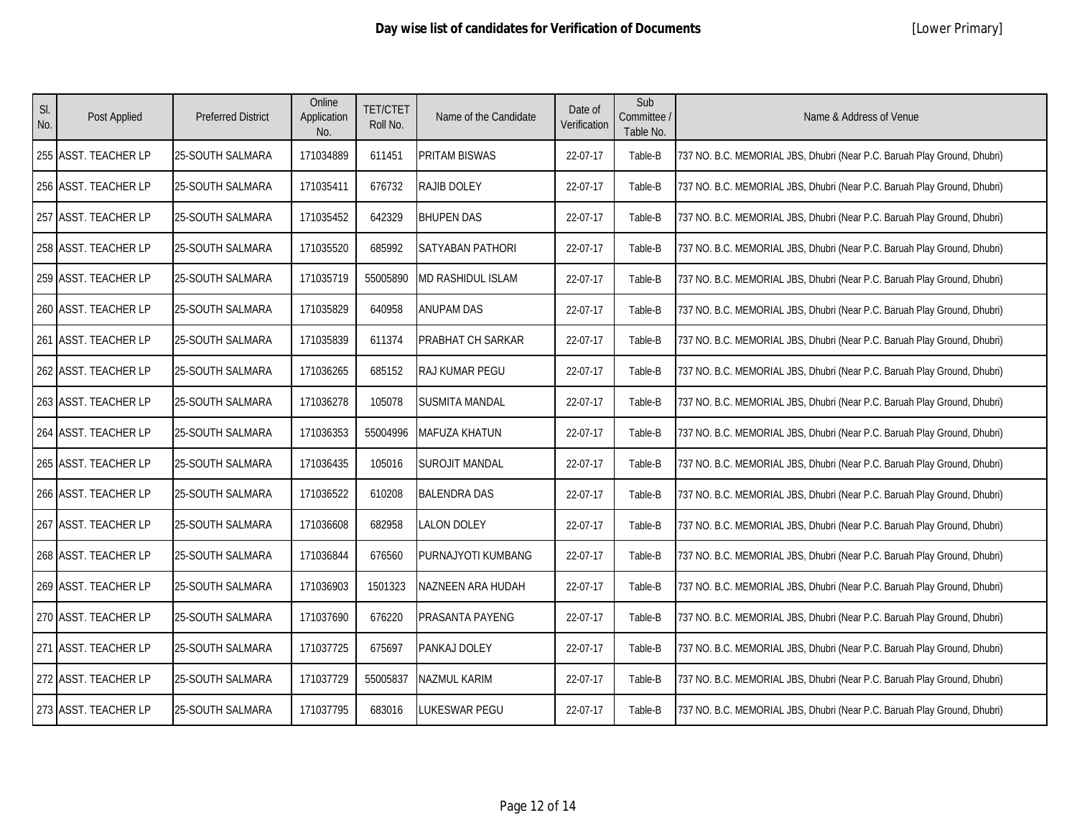| SI.<br>No. | Post Applied         | <b>Preferred District</b> | Online<br>Application<br>No. | <b>TET/CTET</b><br>Roll No. | Name of the Candidate | Date of<br>Verification | Sub<br>Committee /<br>Table No. | Name & Address of Venue                                                  |
|------------|----------------------|---------------------------|------------------------------|-----------------------------|-----------------------|-------------------------|---------------------------------|--------------------------------------------------------------------------|
|            | 255 ASST. TEACHER LP | 25-SOUTH SALMARA          | 171034889                    | 611451                      | PRITAM BISWAS         | 22-07-17                | Table-B                         | 737 NO. B.C. MEMORIAL JBS, Dhubri (Near P.C. Baruah Play Ground, Dhubri) |
|            | 256 ASST. TEACHER LP | 25-SOUTH SALMARA          | 171035411                    | 676732                      | <b>RAJIB DOLEY</b>    | 22-07-17                | Table-B                         | 737 NO. B.C. MEMORIAL JBS, Dhubri (Near P.C. Baruah Play Ground, Dhubri) |
|            | 257 ASST. TEACHER LP | 25-SOUTH SALMARA          | 171035452                    | 642329                      | <b>BHUPEN DAS</b>     | 22-07-17                | Table-B                         | 737 NO. B.C. MEMORIAL JBS, Dhubri (Near P.C. Baruah Play Ground, Dhubri) |
|            | 258 ASST. TEACHER LP | 25-SOUTH SALMARA          | 171035520                    | 685992                      | SATYABAN PATHORI      | 22-07-17                | Table-B                         | 737 NO. B.C. MEMORIAL JBS, Dhubri (Near P.C. Baruah Play Ground, Dhubri) |
|            | 259 ASST. TEACHER LP | 25-SOUTH SALMARA          | 171035719                    | 55005890                    | MD RASHIDUL ISLAM     | 22-07-17                | Table-B                         | 737 NO. B.C. MEMORIAL JBS, Dhubri (Near P.C. Baruah Play Ground, Dhubri) |
|            | 260 ASST. TEACHER LP | 25-SOUTH SALMARA          | 171035829                    | 640958                      | <b>ANUPAM DAS</b>     | 22-07-17                | Table-B                         | 737 NO. B.C. MEMORIAL JBS, Dhubri (Near P.C. Baruah Play Ground, Dhubri) |
|            | 261 ASST. TEACHER LP | 25-SOUTH SALMARA          | 171035839                    | 611374                      | PRABHAT CH SARKAR     | 22-07-17                | Table-B                         | 737 NO. B.C. MEMORIAL JBS, Dhubri (Near P.C. Baruah Play Ground, Dhubri) |
|            | 262 ASST. TEACHER LP | 25-SOUTH SALMARA          | 171036265                    | 685152                      | RAJ KUMAR PEGU        | 22-07-17                | Table-B                         | 737 NO. B.C. MEMORIAL JBS, Dhubri (Near P.C. Baruah Play Ground, Dhubri) |
|            | 263 ASST. TEACHER LP | 25-SOUTH SALMARA          | 171036278                    | 105078                      | <b>SUSMITA MANDAL</b> | 22-07-17                | Table-B                         | 737 NO. B.C. MEMORIAL JBS, Dhubri (Near P.C. Baruah Play Ground, Dhubri) |
|            | 264 ASST. TEACHER LP | 25-SOUTH SALMARA          | 171036353                    | 55004996                    | MAFUZA KHATUN         | 22-07-17                | Table-B                         | 737 NO. B.C. MEMORIAL JBS, Dhubri (Near P.C. Baruah Play Ground, Dhubri) |
|            | 265 ASST. TEACHER LP | 25-SOUTH SALMARA          | 171036435                    | 105016                      | <b>SUROJIT MANDAL</b> | 22-07-17                | Table-B                         | 737 NO. B.C. MEMORIAL JBS, Dhubri (Near P.C. Baruah Play Ground, Dhubri) |
|            | 266 ASST. TEACHER LP | 25-SOUTH SALMARA          | 171036522                    | 610208                      | <b>BALENDRA DAS</b>   | 22-07-17                | Table-B                         | 737 NO. B.C. MEMORIAL JBS, Dhubri (Near P.C. Baruah Play Ground, Dhubri) |
|            | 267 ASST. TEACHER LP | 25-SOUTH SALMARA          | 171036608                    | 682958                      | <b>LALON DOLEY</b>    | 22-07-17                | Table-B                         | 737 NO. B.C. MEMORIAL JBS, Dhubri (Near P.C. Baruah Play Ground, Dhubri) |
|            | 268 ASST. TEACHER LP | <b>25-SOUTH SALMARA</b>   | 171036844                    | 676560                      | PURNAJYOTI KUMBANG    | 22-07-17                | Table-B                         | 737 NO. B.C. MEMORIAL JBS, Dhubri (Near P.C. Baruah Play Ground, Dhubri) |
|            | 269 ASST. TEACHER LP | 25-SOUTH SALMARA          | 171036903                    | 1501323                     | NAZNEEN ARA HUDAH     | 22-07-17                | Table-B                         | 737 NO. B.C. MEMORIAL JBS, Dhubri (Near P.C. Baruah Play Ground, Dhubri) |
|            | 270 ASST. TEACHER LP | 25-SOUTH SALMARA          | 171037690                    | 676220                      | PRASANTA PAYENG       | 22-07-17                | Table-B                         | 737 NO. B.C. MEMORIAL JBS, Dhubri (Near P.C. Baruah Play Ground, Dhubri) |
|            | 271 ASST. TEACHER LP | 25-SOUTH SALMARA          | 171037725                    | 675697                      | PANKAJ DOLEY          | 22-07-17                | Table-B                         | 737 NO. B.C. MEMORIAL JBS, Dhubri (Near P.C. Baruah Play Ground, Dhubri) |
|            | 272 ASST. TEACHER LP | 25-SOUTH SALMARA          | 171037729                    | 55005837                    | NAZMUL KARIM          | 22-07-17                | Table-B                         | 737 NO. B.C. MEMORIAL JBS, Dhubri (Near P.C. Baruah Play Ground, Dhubri) |
|            | 273 ASST. TEACHER LP | <b>25-SOUTH SALMARA</b>   | 171037795                    | 683016                      | LUKESWAR PEGU         | 22-07-17                | Table-B                         | 737 NO. B.C. MEMORIAL JBS, Dhubri (Near P.C. Baruah Play Ground, Dhubri) |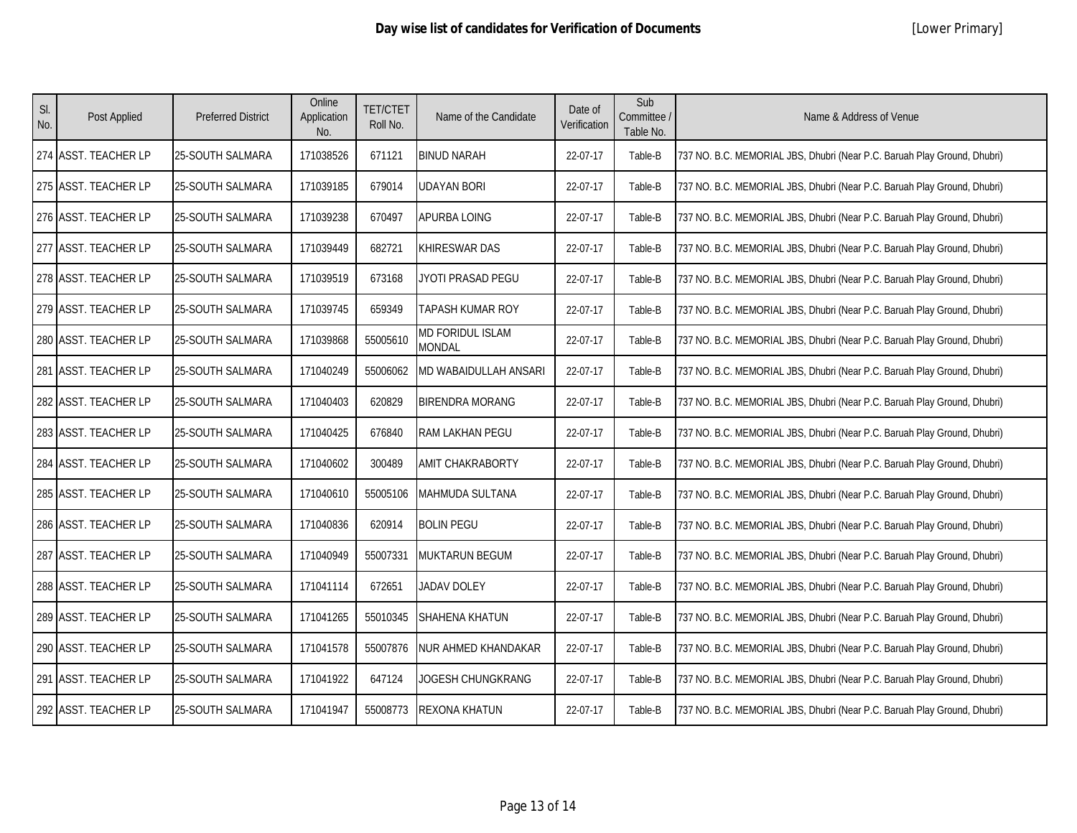| SI.<br>No. | Post Applied         | <b>Preferred District</b> | Online<br>Application<br>No. | <b>TET/CTET</b><br>Roll No. | Name of the Candidate             | Date of<br>Verification | Sub<br>Committee /<br>Table No. | Name & Address of Venue                                                  |
|------------|----------------------|---------------------------|------------------------------|-----------------------------|-----------------------------------|-------------------------|---------------------------------|--------------------------------------------------------------------------|
|            | 274 ASST. TEACHER LP | 25-SOUTH SALMARA          | 171038526                    | 671121                      | <b>BINUD NARAH</b>                | 22-07-17                | Table-B                         | 737 NO. B.C. MEMORIAL JBS, Dhubri (Near P.C. Baruah Play Ground, Dhubri) |
|            | 275 ASST. TEACHER LP | 25-SOUTH SALMARA          | 171039185                    | 679014                      | JDAYAN BORI                       | 22-07-17                | Table-B                         | 737 NO. B.C. MEMORIAL JBS, Dhubri (Near P.C. Baruah Play Ground, Dhubri) |
|            | 276 ASST. TEACHER LP | 25-SOUTH SALMARA          | 171039238                    | 670497                      | APURBA LOING                      | 22-07-17                | Table-B                         | 737 NO. B.C. MEMORIAL JBS, Dhubri (Near P.C. Baruah Play Ground, Dhubri) |
|            | 277 ASST. TEACHER LP | <b>25-SOUTH SALMARA</b>   | 171039449                    | 682721                      | KHIRESWAR DAS                     | 22-07-17                | Table-B                         | 737 NO. B.C. MEMORIAL JBS, Dhubri (Near P.C. Baruah Play Ground, Dhubri) |
|            | 278 ASST. TEACHER LP | 25-SOUTH SALMARA          | 171039519                    | 673168                      | JYOTI PRASAD PEGU                 | 22-07-17                | Table-B                         | 737 NO. B.C. MEMORIAL JBS, Dhubri (Near P.C. Baruah Play Ground, Dhubri) |
|            | 279 ASST. TEACHER LP | 25-SOUTH SALMARA          | 171039745                    | 659349                      | TAPASH KUMAR ROY                  | 22-07-17                | Table-B                         | 737 NO. B.C. MEMORIAL JBS, Dhubri (Near P.C. Baruah Play Ground, Dhubri) |
|            | 280 ASST. TEACHER LP | 25-SOUTH SALMARA          | 171039868                    | 55005610                    | <b>MD FORIDUL ISLAM</b><br>MONDAL | 22-07-17                | Table-B                         | 737 NO. B.C. MEMORIAL JBS, Dhubri (Near P.C. Baruah Play Ground, Dhubri) |
|            | 281 ASST. TEACHER LP | <b>25-SOUTH SALMARA</b>   | 171040249                    | 55006062                    | MD WABAIDULLAH ANSARI             | 22-07-17                | Table-B                         | 737 NO. B.C. MEMORIAL JBS, Dhubri (Near P.C. Baruah Play Ground, Dhubri) |
|            | 282 ASST. TEACHER LP | 25-SOUTH SALMARA          | 171040403                    | 620829                      | <b>BIRENDRA MORANG</b>            | 22-07-17                | Table-B                         | 737 NO. B.C. MEMORIAL JBS, Dhubri (Near P.C. Baruah Play Ground, Dhubri) |
|            | 283 ASST. TEACHER LP | 25-SOUTH SALMARA          | 171040425                    | 676840                      | RAM LAKHAN PEGU                   | 22-07-17                | Table-B                         | 737 NO. B.C. MEMORIAL JBS, Dhubri (Near P.C. Baruah Play Ground, Dhubri) |
|            | 284 ASST. TEACHER LP | 25-SOUTH SALMARA          | 171040602                    | 300489                      | <b>AMIT CHAKRABORTY</b>           | 22-07-17                | Table-B                         | 737 NO. B.C. MEMORIAL JBS, Dhubri (Near P.C. Baruah Play Ground, Dhubri) |
|            | 285 ASST. TEACHER LP | 25-SOUTH SALMARA          | 171040610                    | 55005106                    | MAHMUDA SULTANA                   | 22-07-17                | Table-B                         | 737 NO. B.C. MEMORIAL JBS, Dhubri (Near P.C. Baruah Play Ground, Dhubri) |
|            | 286 ASST. TEACHER LP | 25-SOUTH SALMARA          | 171040836                    | 620914                      | <b>BOLIN PEGU</b>                 | 22-07-17                | Table-B                         | 737 NO. B.C. MEMORIAL JBS, Dhubri (Near P.C. Baruah Play Ground, Dhubri) |
|            | 287 ASST. TEACHER LP | 25-SOUTH SALMARA          | 171040949                    | 55007331                    | <b>MUKTARUN BEGUM</b>             | 22-07-17                | Table-B                         | 737 NO. B.C. MEMORIAL JBS, Dhubri (Near P.C. Baruah Play Ground, Dhubri) |
|            | 288 ASST. TEACHER LP | 25-SOUTH SALMARA          | 171041114                    | 672651                      | <b>JADAV DOLEY</b>                | 22-07-17                | Table-B                         | 737 NO. B.C. MEMORIAL JBS, Dhubri (Near P.C. Baruah Play Ground, Dhubri) |
|            | 289 ASST. TEACHER LP | 25-SOUTH SALMARA          | 171041265                    | 55010345                    | SHAHENA KHATUN                    | 22-07-17                | Table-B                         | 737 NO. B.C. MEMORIAL JBS, Dhubri (Near P.C. Baruah Play Ground, Dhubri) |
|            | 290 ASST. TEACHER LP | 25-SOUTH SALMARA          | 171041578                    | 55007876                    | NUR AHMED KHANDAKAR               | 22-07-17                | Table-B                         | 737 NO. B.C. MEMORIAL JBS, Dhubri (Near P.C. Baruah Play Ground, Dhubri) |
|            | 291 ASST. TEACHER LP | 25-SOUTH SALMARA          | 171041922                    | 647124                      | JOGESH CHUNGKRANG                 | 22-07-17                | Table-B                         | 737 NO. B.C. MEMORIAL JBS, Dhubri (Near P.C. Baruah Play Ground, Dhubri) |
|            | 292 ASST. TEACHER LP | <b>25-SOUTH SALMARA</b>   | 171041947                    | 55008773                    | <b>REXONA KHATUN</b>              | 22-07-17                | Table-B                         | 737 NO. B.C. MEMORIAL JBS, Dhubri (Near P.C. Baruah Play Ground, Dhubri) |